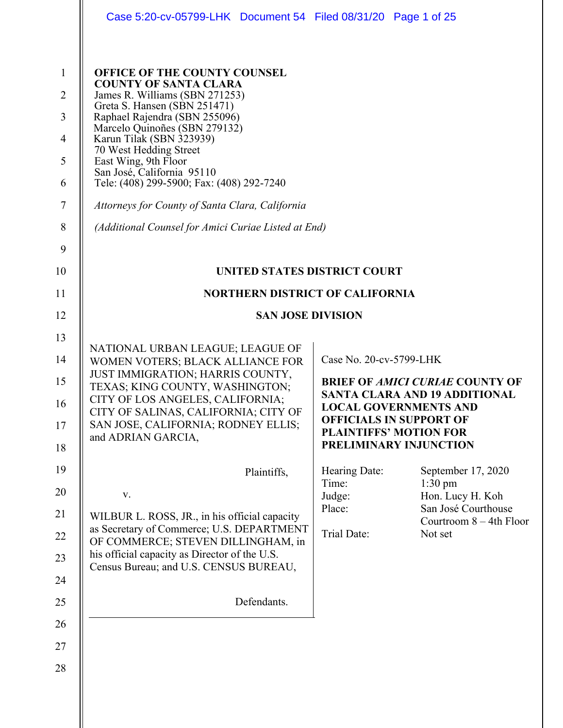|                                                                                                          | Case 5:20-cv-05799-LHK Document 54 Filed 08/31/20 Page 1 of 25                                                                                                                                                                                                                                                                                                                                                                                                                                                                                                      |                                                                                      |                                                                                                                                                                                                                                                                                                                                    |
|----------------------------------------------------------------------------------------------------------|---------------------------------------------------------------------------------------------------------------------------------------------------------------------------------------------------------------------------------------------------------------------------------------------------------------------------------------------------------------------------------------------------------------------------------------------------------------------------------------------------------------------------------------------------------------------|--------------------------------------------------------------------------------------|------------------------------------------------------------------------------------------------------------------------------------------------------------------------------------------------------------------------------------------------------------------------------------------------------------------------------------|
| $\mathbf{1}$<br>$\overline{2}$<br>$\overline{3}$<br>$\overline{4}$<br>5<br>6<br>$\overline{7}$<br>8<br>9 | <b>OFFICE OF THE COUNTY COUNSEL</b><br><b>COUNTY OF SANTA CLARA</b><br>James R. Williams (SBN 271253)<br>Greta S. Hansen (SBN 251471)<br>Raphael Rajendra (SBN 255096)<br>Marcelo Quinoñes (SBN 279132)<br>Karun Tilak (SBN 323939)<br>70 West Hedding Street<br>East Wing, 9th Floor<br>San José, California 95110<br>Tele: (408) 299-5900; Fax: (408) 292-7240<br>Attorneys for County of Santa Clara, California<br>(Additional Counsel for Amici Curiae Listed at End)                                                                                          |                                                                                      |                                                                                                                                                                                                                                                                                                                                    |
| 10                                                                                                       | UNITED STATES DISTRICT COURT                                                                                                                                                                                                                                                                                                                                                                                                                                                                                                                                        |                                                                                      |                                                                                                                                                                                                                                                                                                                                    |
| 11                                                                                                       | <b>NORTHERN DISTRICT OF CALIFORNIA</b>                                                                                                                                                                                                                                                                                                                                                                                                                                                                                                                              |                                                                                      |                                                                                                                                                                                                                                                                                                                                    |
| 12                                                                                                       | <b>SAN JOSE DIVISION</b>                                                                                                                                                                                                                                                                                                                                                                                                                                                                                                                                            |                                                                                      |                                                                                                                                                                                                                                                                                                                                    |
| 13<br>14<br>15<br>16<br>17<br>18<br>19<br>20<br>21<br>22<br>23<br>24<br>25<br>26<br>27                   | NATIONAL URBAN LEAGUE; LEAGUE OF<br>WOMEN VOTERS; BLACK ALLIANCE FOR<br>JUST IMMIGRATION; HARRIS COUNTY,<br>TEXAS; KING COUNTY, WASHINGTON;<br>CITY OF LOS ANGELES, CALIFORNIA;<br>CITY OF SALINAS, CALIFORNIA; CITY OF<br>SAN JOSE, CALIFORNIA; RODNEY ELLIS;<br>and ADRIAN GARCIA,<br>Plaintiffs,<br>$\mathbf{V}$ .<br>WILBUR L. ROSS, JR., in his official capacity<br>as Secretary of Commerce; U.S. DEPARTMENT<br>OF COMMERCE; STEVEN DILLINGHAM, in<br>his official capacity as Director of the U.S.<br>Census Bureau; and U.S. CENSUS BUREAU,<br>Defendants. | Case No. 20-cv-5799-LHK<br>Hearing Date:<br>Time:<br>Judge:<br>Place:<br>Trial Date: | <b>BRIEF OF AMICI CURIAE COUNTY OF</b><br><b>SANTA CLARA AND 19 ADDITIONAL</b><br><b>LOCAL GOVERNMENTS AND</b><br><b>OFFICIALS IN SUPPORT OF</b><br><b>PLAINTIFFS' MOTION FOR</b><br>PRELIMINARY INJUNCTION<br>September 17, 2020<br>$1:30$ pm<br>Hon. Lucy H. Koh<br>San José Courthouse<br>Courtroom $8 - 4$ th Floor<br>Not set |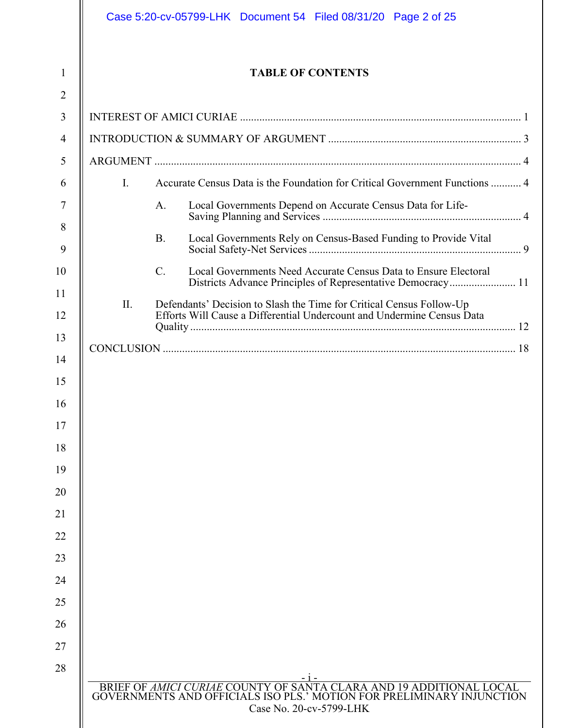|                | <b>TABLE OF CONTENTS</b>                                                                                                                       |
|----------------|------------------------------------------------------------------------------------------------------------------------------------------------|
|                |                                                                                                                                                |
|                |                                                                                                                                                |
|                |                                                                                                                                                |
| $\mathbf{I}$ . | Accurate Census Data is the Foundation for Critical Government Functions  4                                                                    |
|                | A.<br>Local Governments Depend on Accurate Census Data for Life-                                                                               |
|                | <b>B.</b><br>Local Governments Rely on Census-Based Funding to Provide Vital                                                                   |
|                | $C_{\cdot}$<br>Local Governments Need Accurate Census Data to Ensure Electoral<br>Districts Advance Principles of Representative Democracy 11  |
| II.            | Defendants' Decision to Slash the Time for Critical Census Follow-Up<br>Efforts Will Cause a Differential Undercount and Undermine Census Data |
|                |                                                                                                                                                |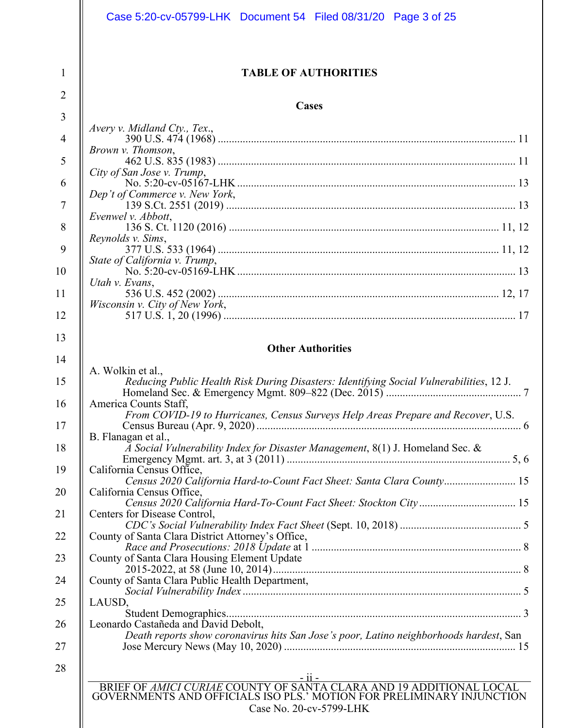|                     | Case 5:20-cv-05799-LHK Document 54 Filed 08/31/20 Page 3 of 25                                                                                                          |
|---------------------|-------------------------------------------------------------------------------------------------------------------------------------------------------------------------|
| 1<br>$\overline{2}$ | <b>TABLE OF AUTHORITIES</b><br>Cases                                                                                                                                    |
| 3                   |                                                                                                                                                                         |
| $\overline{4}$      | Avery v. Midland Cty., Tex.,<br>Brown v. Thomson,                                                                                                                       |
| 5                   | City of San Jose v. Trump,                                                                                                                                              |
| 6                   |                                                                                                                                                                         |
| $\overline{7}$      | Dep't of Commerce v. New York,                                                                                                                                          |
|                     | Evenwel v. Abbott,                                                                                                                                                      |
| 8                   | Reynolds v. Sims,                                                                                                                                                       |
| 9                   |                                                                                                                                                                         |
| 10                  | State of California v. Trump,<br>Utah v. Evans,                                                                                                                         |
| 11                  |                                                                                                                                                                         |
| 12                  | Wisconsin v. City of New York,                                                                                                                                          |
| 13                  |                                                                                                                                                                         |
| 14                  | <b>Other Authorities</b>                                                                                                                                                |
|                     | A. Wolkin et al.,                                                                                                                                                       |
| 15<br>16            | Reducing Public Health Risk During Disasters: Identifying Social Vulnerabilities, 12 J.<br>America Counts Staff,                                                        |
| 17                  | From COVID-19 to Hurricanes, Census Surveys Help Areas Prepare and Recover, U.S.                                                                                        |
|                     | B. Flanagan et al.,                                                                                                                                                     |
| 18<br>19            | $\overline{A}$ Social Vulnerability Index for Disaster Management, 8(1) J. Homeland Sec. &<br>California Census Office,                                                 |
|                     | Census 2020 California Hard-to-Count Fact Sheet: Santa Clara County 15                                                                                                  |
| 20                  | California Census Office,<br>Census 2020 California Hard-To-Count Fact Sheet: Stockton City 15                                                                          |
| 21                  | Centers for Disease Control,                                                                                                                                            |
| 22                  | County of Santa Clara District Attorney's Office,                                                                                                                       |
| 23                  | County of Santa Clara Housing Element Update                                                                                                                            |
| 24                  | County of Santa Clara Public Health Department,                                                                                                                         |
| 25                  | LAUSD,                                                                                                                                                                  |
| 26                  | Leonardo Castañeda and David Debolt,                                                                                                                                    |
| 27                  | Death reports show coronavirus hits San Jose's poor, Latino neighborhoods hardest, San                                                                                  |
| 28                  |                                                                                                                                                                         |
|                     | BRIEF OF AMICI CURIAE COUNTY OF SANTA CLARA AND 19 ADDITIONAL LOCAL<br>GOVERNMENTS AND OFFICIALS ISO PLS.' MOTION FOR PRELIMINARY INJUNCTION<br>Case No. 20-cv-5799-LHK |
|                     |                                                                                                                                                                         |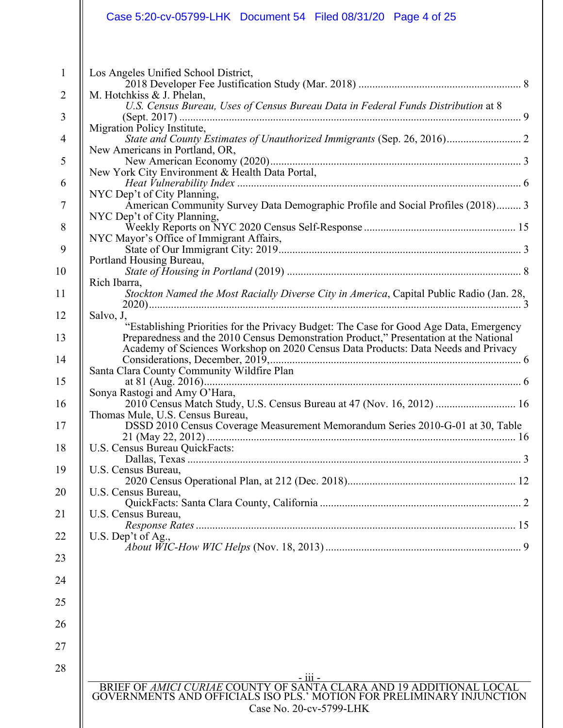| M. Hotchkiss & J. Phelan,<br>Migration Policy Institute,<br>New Americans in Portland, OR,<br>NYC Dep't of City Planning,<br>NYC Dep't of City Planning,<br>NYC Mayor's Office of Immigrant Affairs,<br>Portland Housing Bureau,<br>Rich Ibarra,<br>Stockton Named the Most Racially Diverse City in America, Capital Public Radio (Jan. 28,<br>Salvo, J,<br>"Establishing Priorities for the Privacy Budget: The Case for Good Age Data, Emergency<br>Preparedness and the 2010 Census Demonstration Product," Presentation at the National<br>Santa Clara County Community Wildfire Plan<br>Sonya Rastogi and Amy O'Hara,<br>2010 Census Match Study, U.S. Census Bureau at 47 (Nov. 16, 2012)  16<br>Thomas Mule, U.S. Census Bureau,<br>U.S. Census Bureau QuickFacts:<br>U.S. Census Bureau,<br>U.S. Census Bureau,<br>U.S. Census Bureau,<br>U.S. Dep't of Ag., | Los Angeles Unified School District,                                              |
|-----------------------------------------------------------------------------------------------------------------------------------------------------------------------------------------------------------------------------------------------------------------------------------------------------------------------------------------------------------------------------------------------------------------------------------------------------------------------------------------------------------------------------------------------------------------------------------------------------------------------------------------------------------------------------------------------------------------------------------------------------------------------------------------------------------------------------------------------------------------------|-----------------------------------------------------------------------------------|
|                                                                                                                                                                                                                                                                                                                                                                                                                                                                                                                                                                                                                                                                                                                                                                                                                                                                       |                                                                                   |
|                                                                                                                                                                                                                                                                                                                                                                                                                                                                                                                                                                                                                                                                                                                                                                                                                                                                       | U.S. Census Bureau, Uses of Census Bureau Data in Federal Funds Distribution at 8 |
|                                                                                                                                                                                                                                                                                                                                                                                                                                                                                                                                                                                                                                                                                                                                                                                                                                                                       |                                                                                   |
|                                                                                                                                                                                                                                                                                                                                                                                                                                                                                                                                                                                                                                                                                                                                                                                                                                                                       |                                                                                   |
|                                                                                                                                                                                                                                                                                                                                                                                                                                                                                                                                                                                                                                                                                                                                                                                                                                                                       |                                                                                   |
|                                                                                                                                                                                                                                                                                                                                                                                                                                                                                                                                                                                                                                                                                                                                                                                                                                                                       |                                                                                   |
|                                                                                                                                                                                                                                                                                                                                                                                                                                                                                                                                                                                                                                                                                                                                                                                                                                                                       | American Community Survey Data Demographic Profile and Social Profiles (2018) 3   |
|                                                                                                                                                                                                                                                                                                                                                                                                                                                                                                                                                                                                                                                                                                                                                                                                                                                                       |                                                                                   |
|                                                                                                                                                                                                                                                                                                                                                                                                                                                                                                                                                                                                                                                                                                                                                                                                                                                                       |                                                                                   |
|                                                                                                                                                                                                                                                                                                                                                                                                                                                                                                                                                                                                                                                                                                                                                                                                                                                                       |                                                                                   |
|                                                                                                                                                                                                                                                                                                                                                                                                                                                                                                                                                                                                                                                                                                                                                                                                                                                                       |                                                                                   |
|                                                                                                                                                                                                                                                                                                                                                                                                                                                                                                                                                                                                                                                                                                                                                                                                                                                                       |                                                                                   |
|                                                                                                                                                                                                                                                                                                                                                                                                                                                                                                                                                                                                                                                                                                                                                                                                                                                                       |                                                                                   |
|                                                                                                                                                                                                                                                                                                                                                                                                                                                                                                                                                                                                                                                                                                                                                                                                                                                                       |                                                                                   |
|                                                                                                                                                                                                                                                                                                                                                                                                                                                                                                                                                                                                                                                                                                                                                                                                                                                                       |                                                                                   |
|                                                                                                                                                                                                                                                                                                                                                                                                                                                                                                                                                                                                                                                                                                                                                                                                                                                                       | Academy of Sciences Workshop on 2020 Census Data Products: Data Needs and Privacy |
|                                                                                                                                                                                                                                                                                                                                                                                                                                                                                                                                                                                                                                                                                                                                                                                                                                                                       |                                                                                   |
|                                                                                                                                                                                                                                                                                                                                                                                                                                                                                                                                                                                                                                                                                                                                                                                                                                                                       |                                                                                   |
|                                                                                                                                                                                                                                                                                                                                                                                                                                                                                                                                                                                                                                                                                                                                                                                                                                                                       |                                                                                   |
|                                                                                                                                                                                                                                                                                                                                                                                                                                                                                                                                                                                                                                                                                                                                                                                                                                                                       |                                                                                   |
|                                                                                                                                                                                                                                                                                                                                                                                                                                                                                                                                                                                                                                                                                                                                                                                                                                                                       | DSSD 2010 Census Coverage Measurement Memorandum Series 2010-G-01 at 30, Table    |
|                                                                                                                                                                                                                                                                                                                                                                                                                                                                                                                                                                                                                                                                                                                                                                                                                                                                       |                                                                                   |
|                                                                                                                                                                                                                                                                                                                                                                                                                                                                                                                                                                                                                                                                                                                                                                                                                                                                       |                                                                                   |
|                                                                                                                                                                                                                                                                                                                                                                                                                                                                                                                                                                                                                                                                                                                                                                                                                                                                       |                                                                                   |
|                                                                                                                                                                                                                                                                                                                                                                                                                                                                                                                                                                                                                                                                                                                                                                                                                                                                       |                                                                                   |
|                                                                                                                                                                                                                                                                                                                                                                                                                                                                                                                                                                                                                                                                                                                                                                                                                                                                       |                                                                                   |
|                                                                                                                                                                                                                                                                                                                                                                                                                                                                                                                                                                                                                                                                                                                                                                                                                                                                       |                                                                                   |
|                                                                                                                                                                                                                                                                                                                                                                                                                                                                                                                                                                                                                                                                                                                                                                                                                                                                       |                                                                                   |
|                                                                                                                                                                                                                                                                                                                                                                                                                                                                                                                                                                                                                                                                                                                                                                                                                                                                       |                                                                                   |
|                                                                                                                                                                                                                                                                                                                                                                                                                                                                                                                                                                                                                                                                                                                                                                                                                                                                       |                                                                                   |
|                                                                                                                                                                                                                                                                                                                                                                                                                                                                                                                                                                                                                                                                                                                                                                                                                                                                       |                                                                                   |
|                                                                                                                                                                                                                                                                                                                                                                                                                                                                                                                                                                                                                                                                                                                                                                                                                                                                       |                                                                                   |
|                                                                                                                                                                                                                                                                                                                                                                                                                                                                                                                                                                                                                                                                                                                                                                                                                                                                       |                                                                                   |
|                                                                                                                                                                                                                                                                                                                                                                                                                                                                                                                                                                                                                                                                                                                                                                                                                                                                       |                                                                                   |
|                                                                                                                                                                                                                                                                                                                                                                                                                                                                                                                                                                                                                                                                                                                                                                                                                                                                       |                                                                                   |
|                                                                                                                                                                                                                                                                                                                                                                                                                                                                                                                                                                                                                                                                                                                                                                                                                                                                       |                                                                                   |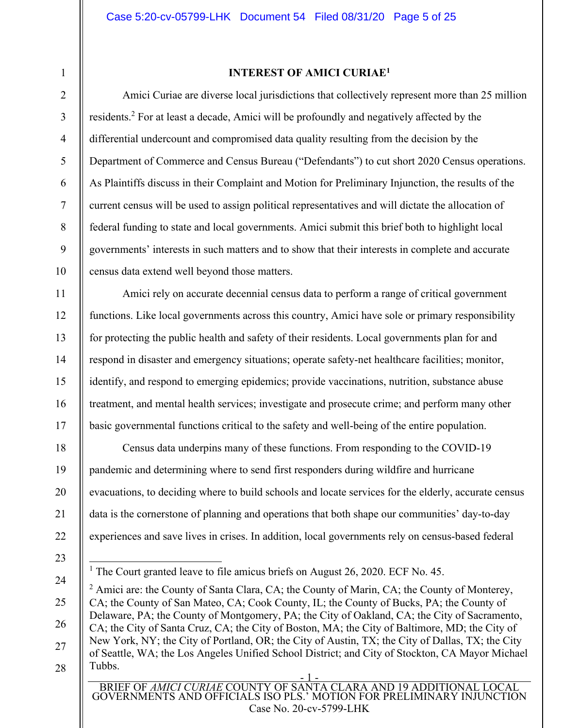2 3

4

5

6

7

8

9

10

11

12

13

14

15

16

17

18

19

20

21

1

# **INTEREST OF AMICI CURIAE1**

Amici Curiae are diverse local jurisdictions that collectively represent more than 25 million residents.<sup>2</sup> For at least a decade, Amici will be profoundly and negatively affected by the differential undercount and compromised data quality resulting from the decision by the Department of Commerce and Census Bureau ("Defendants") to cut short 2020 Census operations. As Plaintiffs discuss in their Complaint and Motion for Preliminary Injunction, the results of the current census will be used to assign political representatives and will dictate the allocation of federal funding to state and local governments. Amici submit this brief both to highlight local governments' interests in such matters and to show that their interests in complete and accurate census data extend well beyond those matters.

Amici rely on accurate decennial census data to perform a range of critical government functions. Like local governments across this country, Amici have sole or primary responsibility for protecting the public health and safety of their residents. Local governments plan for and respond in disaster and emergency situations; operate safety-net healthcare facilities; monitor, identify, and respond to emerging epidemics; provide vaccinations, nutrition, substance abuse treatment, and mental health services; investigate and prosecute crime; and perform many other basic governmental functions critical to the safety and well-being of the entire population.

Census data underpins many of these functions. From responding to the COVID-19 pandemic and determining where to send first responders during wildfire and hurricane evacuations, to deciding where to build schools and locate services for the elderly, accurate census data is the cornerstone of planning and operations that both shape our communities' day-to-day experiences and save lives in crises. In addition, local governments rely on census-based federal

22

BRIEF OF *AMICI CURIAE* COUNTY OF SANTA CLARA AND 19 ADDITIONAL LOCAL GOVERNMENTS AND OFFICIALS ISO PLS.' MOTION FOR PRELIMINARY INJUNCTION Case No. 20-cv-5799-LHK

<sup>23</sup> 

<sup>&</sup>lt;sup>1</sup> The Court granted leave to file amicus briefs on August 26, 2020. ECF No. 45.

<sup>- 1 -</sup>  24 25 26 27 28  $2$  Amici are: the County of Santa Clara, CA; the County of Marin, CA; the County of Monterey, CA; the County of San Mateo, CA; Cook County, IL; the County of Bucks, PA; the County of Delaware, PA; the County of Montgomery, PA; the City of Oakland, CA; the City of Sacramento, CA; the City of Santa Cruz, CA; the City of Boston, MA; the City of Baltimore, MD; the City of New York, NY; the City of Portland, OR; the City of Austin, TX; the City of Dallas, TX; the City of Seattle, WA; the Los Angeles Unified School District; and City of Stockton, CA Mayor Michael Tubbs.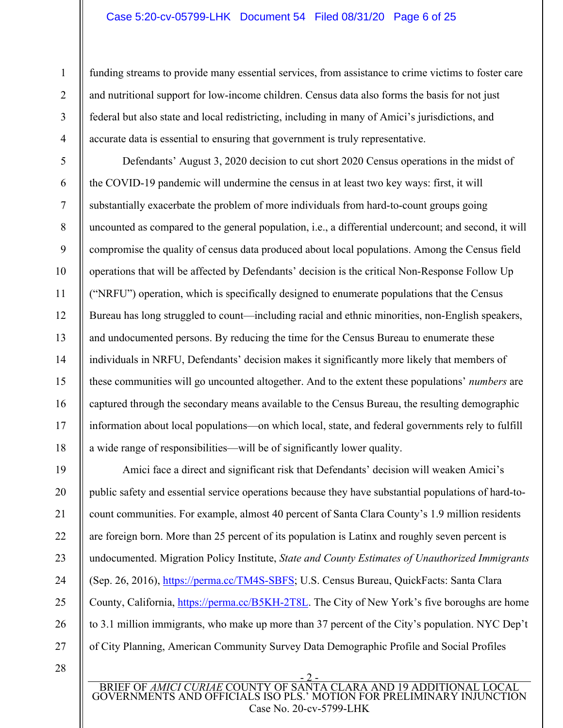#### Case 5:20-cv-05799-LHK Document 54 Filed 08/31/20 Page 6 of 25

funding streams to provide many essential services, from assistance to crime victims to foster care and nutritional support for low-income children. Census data also forms the basis for not just federal but also state and local redistricting, including in many of Amici's jurisdictions, and accurate data is essential to ensuring that government is truly representative.

Defendants' August 3, 2020 decision to cut short 2020 Census operations in the midst of the COVID-19 pandemic will undermine the census in at least two key ways: first, it will substantially exacerbate the problem of more individuals from hard-to-count groups going uncounted as compared to the general population, i.e., a differential undercount; and second, it will compromise the quality of census data produced about local populations. Among the Census field operations that will be affected by Defendants' decision is the critical Non-Response Follow Up ("NRFU") operation, which is specifically designed to enumerate populations that the Census Bureau has long struggled to count—including racial and ethnic minorities, non-English speakers, and undocumented persons. By reducing the time for the Census Bureau to enumerate these individuals in NRFU, Defendants' decision makes it significantly more likely that members of these communities will go uncounted altogether. And to the extent these populations' *numbers* are captured through the secondary means available to the Census Bureau, the resulting demographic information about local populations—on which local, state, and federal governments rely to fulfill a wide range of responsibilities—will be of significantly lower quality.

19 20 21 22 23 24 25 26 27 Amici face a direct and significant risk that Defendants' decision will weaken Amici's public safety and essential service operations because they have substantial populations of hard-tocount communities. For example, almost 40 percent of Santa Clara County's 1.9 million residents are foreign born. More than 25 percent of its population is Latinx and roughly seven percent is undocumented. Migration Policy Institute, *State and County Estimates of Unauthorized Immigrants* (Sep. 26, 2016), https://perma.cc/TM4S-SBFS; U.S. Census Bureau, QuickFacts: Santa Clara County, California, https://perma.cc/B5KH-2T8L. The City of New York's five boroughs are home to 3.1 million immigrants, who make up more than 37 percent of the City's population. NYC Dep't of City Planning, American Community Survey Data Demographic Profile and Social Profiles

28

1

2

3

4

5

6

7

8

9

10

11

12

13

14

15

16

17

18

<sup>- 2 -</sup>  BRIEF OF *AMICI CURIAE* COUNTY OF SANTA CLARA AND 19 ADDITIONAL LOCAL GOVERNMENTS AND OFFICIALS ISO PLS.' MOTION FOR PRELIMINARY INJUNCTION Case No. 20-cv-5799-LHK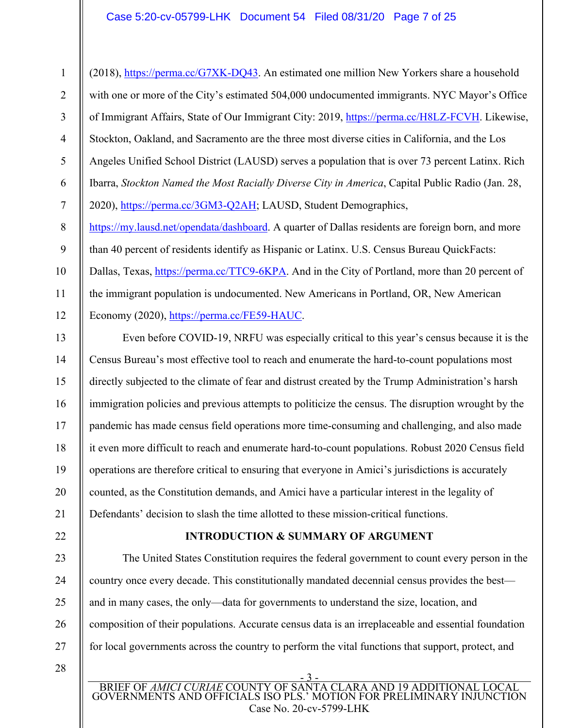## Case 5:20-cv-05799-LHK Document 54 Filed 08/31/20 Page 7 of 25

1 2 3 4 5 6 7 (2018), https://perma.cc/G7XK-DQ43. An estimated one million New Yorkers share a household with one or more of the City's estimated 504,000 undocumented immigrants. NYC Mayor's Office of Immigrant Affairs, State of Our Immigrant City: 2019, https://perma.cc/H8LZ-FCVH. Likewise, Stockton, Oakland, and Sacramento are the three most diverse cities in California, and the Los Angeles Unified School District (LAUSD) serves a population that is over 73 percent Latinx. Rich Ibarra, *Stockton Named the Most Racially Diverse City in America*, Capital Public Radio (Jan. 28, 2020), https://perma.cc/3GM3-Q2AH; LAUSD, Student Demographics,

8 9 10 11 12 https://my.lausd.net/opendata/dashboard. A quarter of Dallas residents are foreign born, and more than 40 percent of residents identify as Hispanic or Latinx. U.S. Census Bureau QuickFacts: Dallas, Texas, https://perma.cc/TTC9-6KPA</u>. And in the City of Portland, more than 20 percent of the immigrant population is undocumented. New Americans in Portland, OR, New American Economy (2020), https://perma.cc/FE59-HAUC.

13 14 15 16 17 18 19 20 Even before COVID-19, NRFU was especially critical to this year's census because it is the Census Bureau's most effective tool to reach and enumerate the hard-to-count populations most directly subjected to the climate of fear and distrust created by the Trump Administration's harsh immigration policies and previous attempts to politicize the census. The disruption wrought by the pandemic has made census field operations more time-consuming and challenging, and also made it even more difficult to reach and enumerate hard-to-count populations. Robust 2020 Census field operations are therefore critical to ensuring that everyone in Amici's jurisdictions is accurately counted, as the Constitution demands, and Amici have a particular interest in the legality of Defendants' decision to slash the time allotted to these mission-critical functions.

# **INTRODUCTION & SUMMARY OF ARGUMENT**

The United States Constitution requires the federal government to count every person in the country once every decade. This constitutionally mandated decennial census provides the best and in many cases, the only—data for governments to understand the size, location, and composition of their populations. Accurate census data is an irreplaceable and essential foundation for local governments across the country to perform the vital functions that support, protect, and

28

21

22

23

24

25

26

27

- 3 - BRIEF OF *AMICI CURIAE* COUNTY OF SANTA CLARA AND 19 ADDITIONAL LOCAL GOVERNMENTS AND OFFICIALS ISO PLS.' MOTION FOR PRELIMINARY INJUNCTION Case No. 20-cv-5799-LHK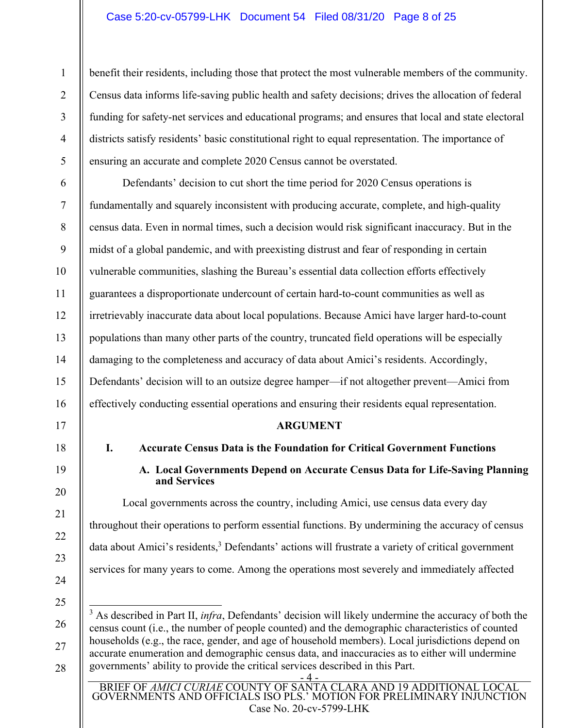## Case 5:20-cv-05799-LHK Document 54 Filed 08/31/20 Page 8 of 25

benefit their residents, including those that protect the most vulnerable members of the community. Census data informs life-saving public health and safety decisions; drives the allocation of federal funding for safety-net services and educational programs; and ensures that local and state electoral districts satisfy residents' basic constitutional right to equal representation. The importance of ensuring an accurate and complete 2020 Census cannot be overstated.

Defendants' decision to cut short the time period for 2020 Census operations is fundamentally and squarely inconsistent with producing accurate, complete, and high-quality census data. Even in normal times, such a decision would risk significant inaccuracy. But in the midst of a global pandemic, and with preexisting distrust and fear of responding in certain vulnerable communities, slashing the Bureau's essential data collection efforts effectively guarantees a disproportionate undercount of certain hard-to-count communities as well as irretrievably inaccurate data about local populations. Because Amici have larger hard-to-count populations than many other parts of the country, truncated field operations will be especially damaging to the completeness and accuracy of data about Amici's residents. Accordingly, Defendants' decision will to an outsize degree hamper—if not altogether prevent—Amici from effectively conducting essential operations and ensuring their residents equal representation.

#### **ARGUMENT**

# **I. Accurate Census Data is the Foundation for Critical Government Functions**

**A. Local Governments Depend on Accurate Census Data for Life-Saving Planning and Services** 

Local governments across the country, including Amici, use census data every day throughout their operations to perform essential functions. By undermining the accuracy of census data about Amici's residents,<sup>3</sup> Defendants' actions will frustrate a variety of critical government services for many years to come. Among the operations most severely and immediately affected

24

1

2

3

4

5

6

7

8

9

10

11

12

13

14

15

16

17

18

19

20

21

22

23

- 25
- 26 27

28

- 4 - BRIEF OF *AMICI CURIAE* COUNTY OF SANTA CLARA AND 19 ADDITIONAL LOCAL GOVERNMENTS AND OFFICIALS ISO PLS.' MOTION FOR PRELIMINARY INJUNCTION Case No. 20-cv-5799-LHK

<sup>&</sup>lt;sup>3</sup> As described in Part II, *infra*, Defendants' decision will likely undermine the accuracy of both the census count (i.e., the number of people counted) and the demographic characteristics of counted households (e.g., the race, gender, and age of household members). Local jurisdictions depend on accurate enumeration and demographic census data, and inaccuracies as to either will undermine governments' ability to provide the critical services described in this Part.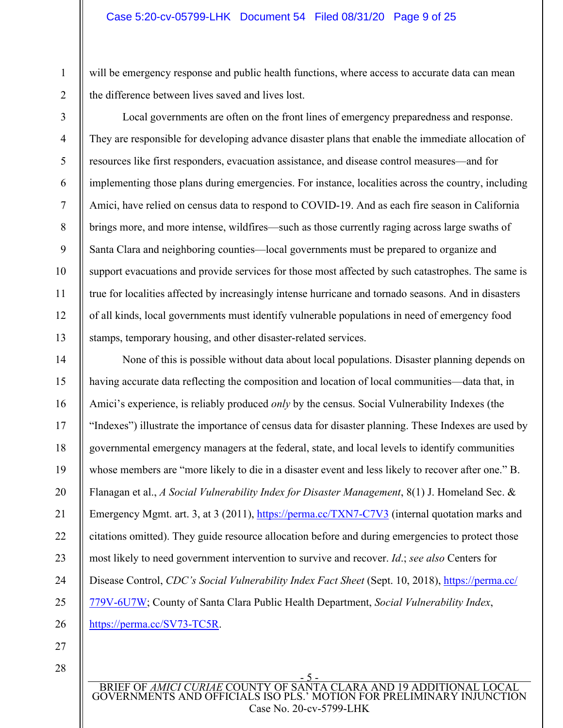will be emergency response and public health functions, where access to accurate data can mean the difference between lives saved and lives lost.

2 3

4

5

6

7

8

9

10

11

12

13

1

Local governments are often on the front lines of emergency preparedness and response. They are responsible for developing advance disaster plans that enable the immediate allocation of resources like first responders, evacuation assistance, and disease control measures—and for implementing those plans during emergencies. For instance, localities across the country, including Amici, have relied on census data to respond to COVID-19. And as each fire season in California brings more, and more intense, wildfires—such as those currently raging across large swaths of Santa Clara and neighboring counties—local governments must be prepared to organize and support evacuations and provide services for those most affected by such catastrophes. The same is true for localities affected by increasingly intense hurricane and tornado seasons. And in disasters of all kinds, local governments must identify vulnerable populations in need of emergency food stamps, temporary housing, and other disaster-related services.

14 15 16 17 18 19 20 21 22 23 24 25 26 None of this is possible without data about local populations. Disaster planning depends on having accurate data reflecting the composition and location of local communities—data that, in Amici's experience, is reliably produced *only* by the census. Social Vulnerability Indexes (the "Indexes") illustrate the importance of census data for disaster planning. These Indexes are used by governmental emergency managers at the federal, state, and local levels to identify communities whose members are "more likely to die in a disaster event and less likely to recover after one." B. Flanagan et al., *A Social Vulnerability Index for Disaster Management*, 8(1) J. Homeland Sec. & Emergency Mgmt. art. 3, at 3 (2011), https://perma.cc/TXN7-C7V3 (internal quotation marks and citations omitted). They guide resource allocation before and during emergencies to protect those most likely to need government intervention to survive and recover. *Id*.; *see also* Centers for Disease Control, *CDC's Social Vulnerability Index Fact Sheet* (Sept. 10, 2018), https://perma.cc/ 779V-6U7W; County of Santa Clara Public Health Department, *Social Vulnerability Index*, https://perma.cc/SV73-TC5R.

27

28

- 5 - BRIEF OF **AMICI CURIAE COUNTY OF SA** GOVERNMENTS AND OFFICIALS ISO PLS.' MOTION FOR PRELIMINARY INJUNCTION Case No. 20-cv-5799-LHK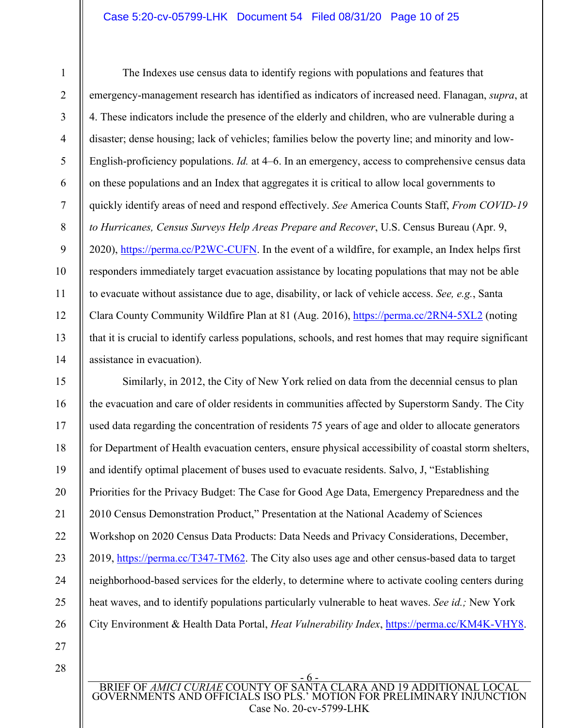# Case 5:20-cv-05799-LHK Document 54 Filed 08/31/20 Page 10 of 25

7

8

9

10

11

12

13

14

1

The Indexes use census data to identify regions with populations and features that emergency-management research has identified as indicators of increased need. Flanagan, *supra*, at 4. These indicators include the presence of the elderly and children, who are vulnerable during a disaster; dense housing; lack of vehicles; families below the poverty line; and minority and low-English-proficiency populations. *Id.* at 4–6. In an emergency, access to comprehensive census data on these populations and an Index that aggregates it is critical to allow local governments to quickly identify areas of need and respond effectively. *See* America Counts Staff, *From COVID-19 to Hurricanes, Census Surveys Help Areas Prepare and Recover*, U.S. Census Bureau (Apr. 9, 2020), https://perma.cc/P2WC-CUFN. In the event of a wildfire, for example, an Index helps first responders immediately target evacuation assistance by locating populations that may not be able to evacuate without assistance due to age, disability, or lack of vehicle access. *See, e.g.*, Santa Clara County Community Wildfire Plan at 81 (Aug. 2016), https://perma.cc/2RN4-5XL2 (noting that it is crucial to identify carless populations, schools, and rest homes that may require significant assistance in evacuation).

15 16 17 18 19 20 21 22 23 24 25 26 Similarly, in 2012, the City of New York relied on data from the decennial census to plan the evacuation and care of older residents in communities affected by Superstorm Sandy. The City used data regarding the concentration of residents 75 years of age and older to allocate generators for Department of Health evacuation centers, ensure physical accessibility of coastal storm shelters, and identify optimal placement of buses used to evacuate residents. Salvo, J, "Establishing Priorities for the Privacy Budget: The Case for Good Age Data, Emergency Preparedness and the 2010 Census Demonstration Product," Presentation at the National Academy of Sciences Workshop on 2020 Census Data Products: Data Needs and Privacy Considerations, December, 2019, https://perma.cc/T347-TM62. The City also uses age and other census-based data to target neighborhood-based services for the elderly, to determine where to activate cooling centers during heat waves, and to identify populations particularly vulnerable to heat waves. *See id.;* New York City Environment & Health Data Portal, *Heat Vulnerability Index*, https://perma.cc/KM4K-VHY8.

27

28

- 6 - BRIEF OF *AMICI CURIAE* COUNTY OF SANTA CLARA AND 19 ADDITIONAL LOCAL GOVERNMENTS AND OFFICIALS ISO PLS.' MOTION FOR PRELIMINARY INJUNCTION Case No. 20-cv-5799-LHK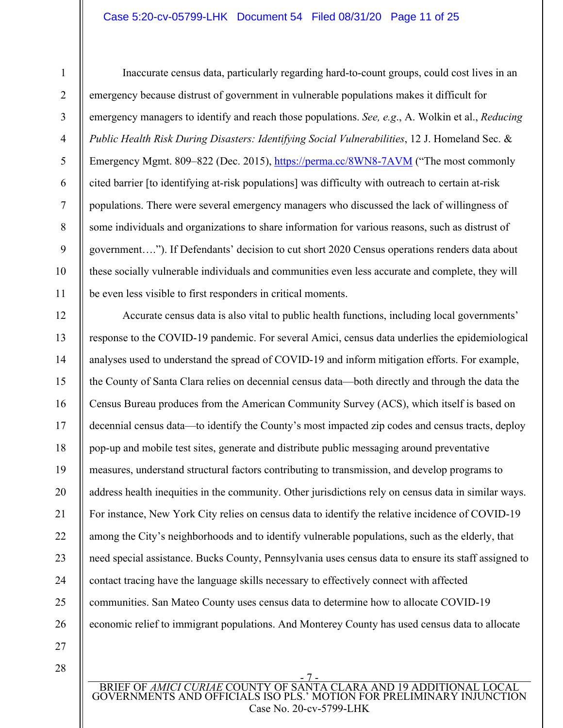# Case 5:20-cv-05799-LHK Document 54 Filed 08/31/20 Page 11 of 25

4

5

6

7

8

9

10

11

1

Inaccurate census data, particularly regarding hard-to-count groups, could cost lives in an emergency because distrust of government in vulnerable populations makes it difficult for emergency managers to identify and reach those populations. *See, e.g*., A. Wolkin et al., *Reducing Public Health Risk During Disasters: Identifying Social Vulnerabilities*, 12 J. Homeland Sec. & Emergency Mgmt. 809–822 (Dec. 2015), https://perma.cc/8WN8-7AVM ("The most commonly cited barrier [to identifying at-risk populations] was difficulty with outreach to certain at-risk populations. There were several emergency managers who discussed the lack of willingness of some individuals and organizations to share information for various reasons, such as distrust of government…."). If Defendants' decision to cut short 2020 Census operations renders data about these socially vulnerable individuals and communities even less accurate and complete, they will be even less visible to first responders in critical moments.

12 13 14 15 16 17 18 19 20 21 22 23 24 25 26 Accurate census data is also vital to public health functions, including local governments' response to the COVID-19 pandemic. For several Amici, census data underlies the epidemiological analyses used to understand the spread of COVID-19 and inform mitigation efforts. For example, the County of Santa Clara relies on decennial census data—both directly and through the data the Census Bureau produces from the American Community Survey (ACS), which itself is based on decennial census data—to identify the County's most impacted zip codes and census tracts, deploy pop-up and mobile test sites, generate and distribute public messaging around preventative measures, understand structural factors contributing to transmission, and develop programs to address health inequities in the community. Other jurisdictions rely on census data in similar ways. For instance, New York City relies on census data to identify the relative incidence of COVID-19 among the City's neighborhoods and to identify vulnerable populations, such as the elderly, that need special assistance. Bucks County, Pennsylvania uses census data to ensure its staff assigned to contact tracing have the language skills necessary to effectively connect with affected communities. San Mateo County uses census data to determine how to allocate COVID-19 economic relief to immigrant populations. And Monterey County has used census data to allocate

27

28

- 7 - BRIEF OF *AMICI CURIAE* COUNTY OF SANTA CLARA AND 19 ADDITIONAL LOCAL GOVERNMENTS AND OFFICIALS ISO PLS.' MOTION FOR PRELIMINARY INJUNCTION Case No. 20-cv-5799-LHK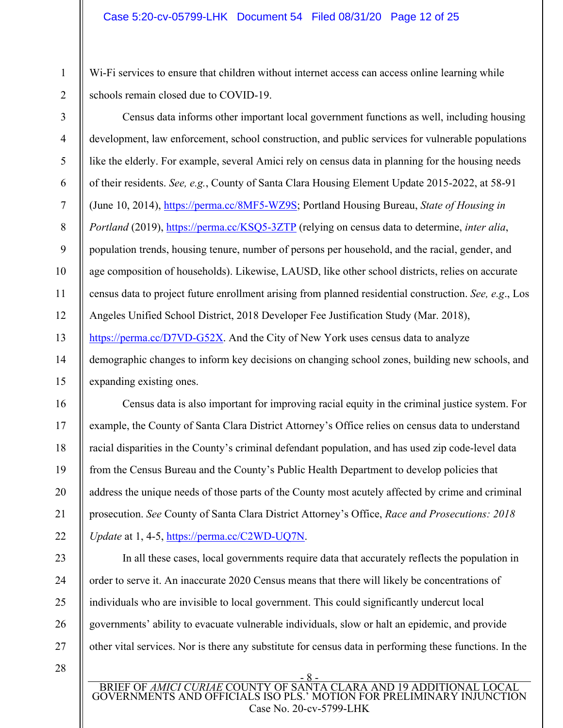Wi-Fi services to ensure that children without internet access can access online learning while schools remain closed due to COVID-19.

2 3

1

4 5 6 7 8 9 10 11 12 13 14 15 Census data informs other important local government functions as well, including housing development, law enforcement, school construction, and public services for vulnerable populations like the elderly. For example, several Amici rely on census data in planning for the housing needs of their residents. *See, e.g.*, County of Santa Clara Housing Element Update 2015-2022, at 58-91 (June 10, 2014), https://perma.cc/8MF5-WZ9S; Portland Housing Bureau, *State of Housing in Portland* (2019), https://perma.cc/KSQ5-3ZTP (relying on census data to determine, *inter alia*, population trends, housing tenure, number of persons per household, and the racial, gender, and age composition of households). Likewise, LAUSD, like other school districts, relies on accurate census data to project future enrollment arising from planned residential construction. *See, e.g*., Los Angeles Unified School District, 2018 Developer Fee Justification Study (Mar. 2018), https://perma.cc/D7VD-G52X. And the City of New York uses census data to analyze demographic changes to inform key decisions on changing school zones, building new schools, and expanding existing ones.

Census data is also important for improving racial equity in the criminal justice system. For example, the County of Santa Clara District Attorney's Office relies on census data to understand racial disparities in the County's criminal defendant population, and has used zip code-level data from the Census Bureau and the County's Public Health Department to develop policies that address the unique needs of those parts of the County most acutely affected by crime and criminal prosecution. *See* County of Santa Clara District Attorney's Office, *Race and Prosecutions: 2018 Update* at 1, 4-5, https://perma.cc/C2WD-UQ7N.

order to serve it. An inaccurate 2020 Census means that there will likely be concentrations of

governments' ability to evacuate vulnerable individuals, slow or halt an epidemic, and provide

other vital services. Nor is there any substitute for census data in performing these functions. In the

individuals who are invisible to local government. This could significantly undercut local

23 24 25

16

17

18

19

20

21

22

26 27

28

- 8 - BRIEF OF *AMICI CURIAE* COUNTY OF SANTA CLARA AND 19 ADDITIONAL LOCAL GOVERNMENTS AND OFFICIALS ISO PLS.' MOTION FOR PRELIMINARY INJUNCTION Case No. 20-cv-5799-LHK

In all these cases, local governments require data that accurately reflects the population in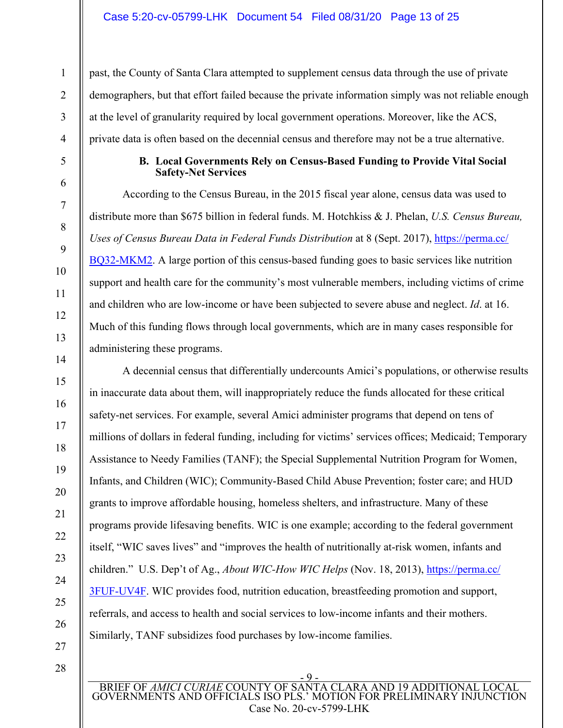past, the County of Santa Clara attempted to supplement census data through the use of private demographers, but that effort failed because the private information simply was not reliable enough at the level of granularity required by local government operations. Moreover, like the ACS, private data is often based on the decennial census and therefore may not be a true alternative.

## **B. Local Governments Rely on Census-Based Funding to Provide Vital Social Safety-Net Services**

According to the Census Bureau, in the 2015 fiscal year alone, census data was used to distribute more than \$675 billion in federal funds. M. Hotchkiss & J. Phelan, *U.S. Census Bureau, Uses of Census Bureau Data in Federal Funds Distribution* at 8 (Sept. 2017), https://perma.cc/ BQ32-MKM2. A large portion of this census-based funding goes to basic services like nutrition support and health care for the community's most vulnerable members, including victims of crime and children who are low-income or have been subjected to severe abuse and neglect. *Id*. at 16. Much of this funding flows through local governments, which are in many cases responsible for administering these programs.

A decennial census that differentially undercounts Amici's populations, or otherwise results in inaccurate data about them, will inappropriately reduce the funds allocated for these critical safety-net services. For example, several Amici administer programs that depend on tens of millions of dollars in federal funding, including for victims' services offices; Medicaid; Temporary Assistance to Needy Families (TANF); the Special Supplemental Nutrition Program for Women, Infants, and Children (WIC); Community-Based Child Abuse Prevention; foster care; and HUD grants to improve affordable housing, homeless shelters, and infrastructure. Many of these programs provide lifesaving benefits. WIC is one example; according to the federal government itself, "WIC saves lives" and "improves the health of nutritionally at-risk women, infants and children." U.S. Dep't of Ag., *About WIC-How WIC Helps* (Nov. 18, 2013), https://perma.cc/ 3FUF-UV4F. WIC provides food, nutrition education, breastfeeding promotion and support, referrals, and access to health and social services to low-income infants and their mothers. Similarly, TANF subsidizes food purchases by low-income families.

27 28

1

2

3

4

5

6

7

8

9

10

11

12

13

14

15

16

17

18

19

20

21

22

23

24

25

26

<u>. 9 - </u> BRIEF OF *AMICI CURIAE* COUNTY OF SANTA CLARA AND 19 ADDITIONAL LOCAL GOVERNMENTS AND OFFICIALS ISO PLS.' MOTION FOR PRELIMINARY INJUNCTION Case No. 20-cv-5799-LHK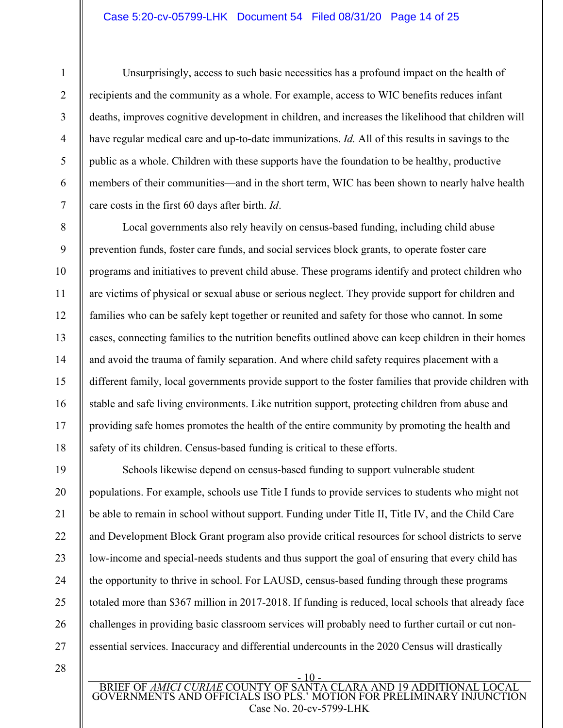#### Case 5:20-cv-05799-LHK Document 54 Filed 08/31/20 Page 14 of 25

Unsurprisingly, access to such basic necessities has a profound impact on the health of recipients and the community as a whole. For example, access to WIC benefits reduces infant deaths, improves cognitive development in children, and increases the likelihood that children will have regular medical care and up-to-date immunizations. *Id.* All of this results in savings to the public as a whole. Children with these supports have the foundation to be healthy, productive members of their communities—and in the short term, WIC has been shown to nearly halve health care costs in the first 60 days after birth. *Id*.

Local governments also rely heavily on census-based funding, including child abuse prevention funds, foster care funds, and social services block grants, to operate foster care programs and initiatives to prevent child abuse. These programs identify and protect children who are victims of physical or sexual abuse or serious neglect. They provide support for children and families who can be safely kept together or reunited and safety for those who cannot. In some cases, connecting families to the nutrition benefits outlined above can keep children in their homes and avoid the trauma of family separation. And where child safety requires placement with a different family, local governments provide support to the foster families that provide children with stable and safe living environments. Like nutrition support, protecting children from abuse and providing safe homes promotes the health of the entire community by promoting the health and safety of its children. Census-based funding is critical to these efforts.

19 20 21 22 23 24 25 26 27 Schools likewise depend on census-based funding to support vulnerable student populations. For example, schools use Title I funds to provide services to students who might not be able to remain in school without support. Funding under Title II, Title IV, and the Child Care and Development Block Grant program also provide critical resources for school districts to serve low-income and special-needs students and thus support the goal of ensuring that every child has the opportunity to thrive in school. For LAUSD, census-based funding through these programs totaled more than \$367 million in 2017-2018. If funding is reduced, local schools that already face challenges in providing basic classroom services will probably need to further curtail or cut nonessential services. Inaccuracy and differential undercounts in the 2020 Census will drastically

28

1

2

3

4

5

6

7

8

9

10

11

12

13

14

15

16

17

18

- 10 - BRIEF OF *AMICI CURIAE* COUNTY OF SANTA CLARA AND 19 ADDITIONAL LOCAL GOVERNMENTS AND OFFICIALS ISO PLS.' MOTION FOR PRELIMINARY INJUNCTION Case No. 20-cv-5799-LHK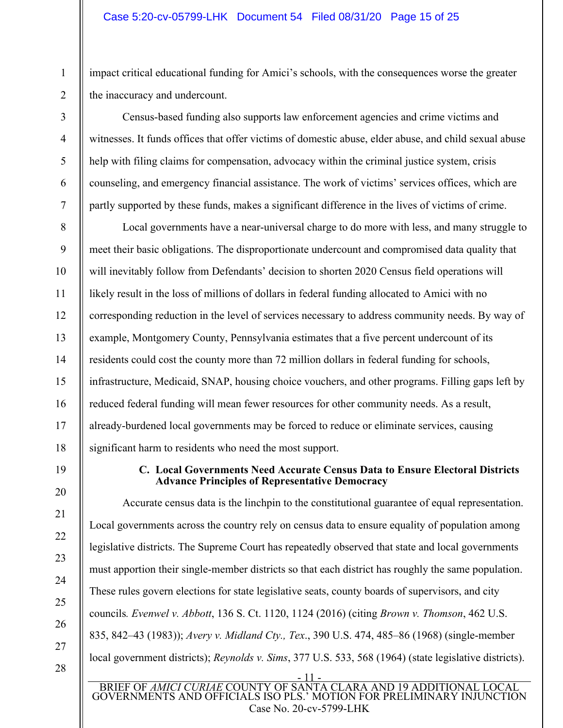impact critical educational funding for Amici's schools, with the consequences worse the greater the inaccuracy and undercount.

Census-based funding also supports law enforcement agencies and crime victims and witnesses. It funds offices that offer victims of domestic abuse, elder abuse, and child sexual abuse help with filing claims for compensation, advocacy within the criminal justice system, crisis counseling, and emergency financial assistance. The work of victims' services offices, which are partly supported by these funds, makes a significant difference in the lives of victims of crime.

Local governments have a near-universal charge to do more with less, and many struggle to meet their basic obligations. The disproportionate undercount and compromised data quality that will inevitably follow from Defendants' decision to shorten 2020 Census field operations will likely result in the loss of millions of dollars in federal funding allocated to Amici with no corresponding reduction in the level of services necessary to address community needs. By way of example, Montgomery County, Pennsylvania estimates that a five percent undercount of its residents could cost the county more than 72 million dollars in federal funding for schools, infrastructure, Medicaid, SNAP, housing choice vouchers, and other programs. Filling gaps left by reduced federal funding will mean fewer resources for other community needs. As a result, already-burdened local governments may be forced to reduce or eliminate services, causing significant harm to residents who need the most support.

19

20

21

22

23

24

25

26

27

28

1

2

3

4

5

6

7

8

9

10

11

12

13

14

15

16

17

18

# **C. Local Governments Need Accurate Census Data to Ensure Electoral Districts Advance Principles of Representative Democracy**

- 11 - Accurate census data is the linchpin to the constitutional guarantee of equal representation. Local governments across the country rely on census data to ensure equality of population among legislative districts. The Supreme Court has repeatedly observed that state and local governments must apportion their single-member districts so that each district has roughly the same population. These rules govern elections for state legislative seats, county boards of supervisors, and city councils*. Evenwel v. Abbott*, 136 S. Ct. 1120, 1124 (2016) (citing *Brown v. Thomson*, 462 U.S. 835, 842–43 (1983)); *Avery v. Midland Cty., Tex*., 390 U.S. 474, 485–86 (1968) (single-member local government districts); *Reynolds v. Sims*, 377 U.S. 533, 568 (1964) (state legislative districts).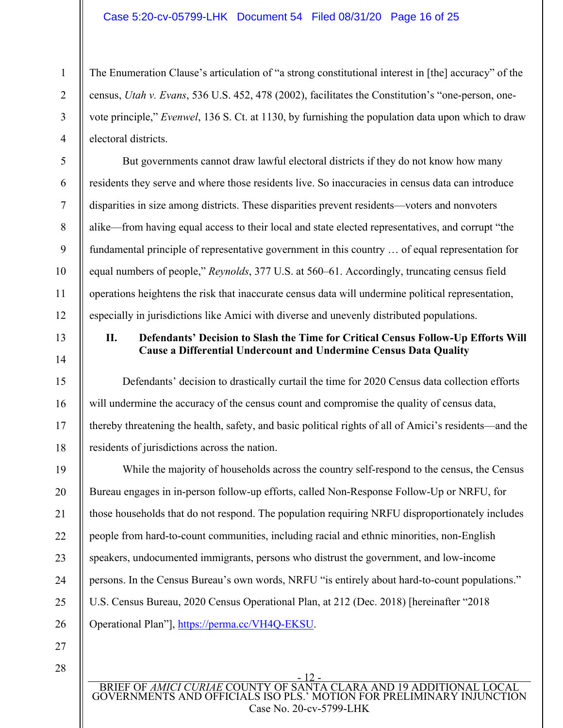## Case 5:20-cv-05799-LHK Document 54 Filed 08/31/20 Page 16 of 25

The Enumeration Clause's articulation of "a strong constitutional interest in [the] accuracy" of the census, *Utah v. Evans*, 536 U.S. 452, 478 (2002), facilitates the Constitution's "one-person, onevote principle," *Evenwel*, 136 S. Ct. at 1130, by furnishing the population data upon which to draw electoral districts.

But governments cannot draw lawful electoral districts if they do not know how many residents they serve and where those residents live. So inaccuracies in census data can introduce disparities in size among districts. These disparities prevent residents—voters and nonvoters alike—from having equal access to their local and state elected representatives, and corrupt "the fundamental principle of representative government in this country … of equal representation for equal numbers of people," *Reynolds*, 377 U.S. at 560–61. Accordingly, truncating census field operations heightens the risk that inaccurate census data will undermine political representation, especially in jurisdictions like Amici with diverse and unevenly distributed populations.

13

1

2

3

4

5

6

7

8

9

10

11

12

14

15

16

17

18

# **II. Defendants' Decision to Slash the Time for Critical Census Follow-Up Efforts Will Cause a Differential Undercount and Undermine Census Data Quality**

Defendants' decision to drastically curtail the time for 2020 Census data collection efforts will undermine the accuracy of the census count and compromise the quality of census data, thereby threatening the health, safety, and basic political rights of all of Amici's residents—and the residents of jurisdictions across the nation.

19 20 21 22 23 24 25 26 While the majority of households across the country self-respond to the census, the Census Bureau engages in in-person follow-up efforts, called Non-Response Follow-Up or NRFU, for those households that do not respond. The population requiring NRFU disproportionately includes people from hard-to-count communities, including racial and ethnic minorities, non-English speakers, undocumented immigrants, persons who distrust the government, and low-income persons. In the Census Bureau's own words, NRFU "is entirely about hard-to-count populations." U.S. Census Bureau, 2020 Census Operational Plan, at 212 (Dec. 2018) [hereinafter "2018 Operational Plan"], https://perma.cc/VH4Q-EKSU.

27 28

> - 12 - BRIEF OF *AMICI CURIAE* COUNTY OF SANTA CLARA AND 19 ADDITIONAL LOCAL GOVERNMENTS AND OFFICIALS ISO PLS.' MOTION FOR PRELIMINARY INJUNCTION Case No. 20-cv-5799-LHK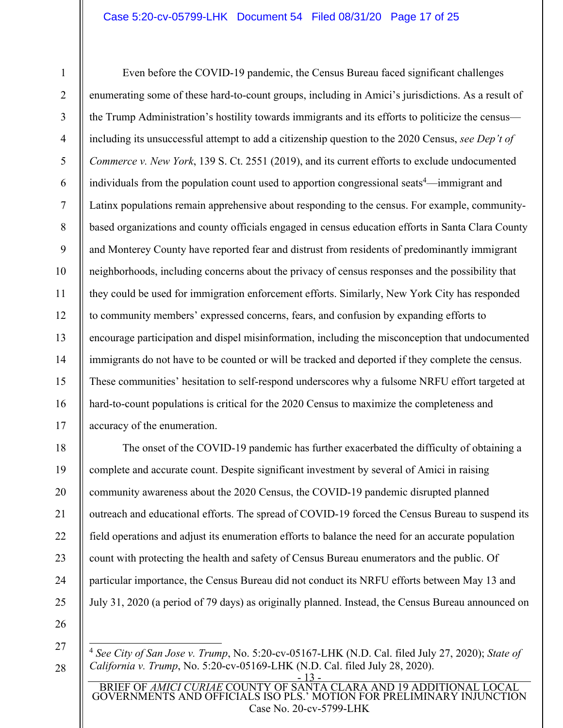# Case 5:20-cv-05799-LHK Document 54 Filed 08/31/20 Page 17 of 25

2 3

4

5

6

7

8

9

10

11

12

13

14

15

16

17

18

19

20

21

22

23

24

25

1

Even before the COVID-19 pandemic, the Census Bureau faced significant challenges enumerating some of these hard-to-count groups, including in Amici's jurisdictions. As a result of the Trump Administration's hostility towards immigrants and its efforts to politicize the census including its unsuccessful attempt to add a citizenship question to the 2020 Census, *see Dep't of Commerce v. New York*, 139 S. Ct. 2551 (2019), and its current efforts to exclude undocumented individuals from the population count used to apportion congressional seats<sup>4</sup>—immigrant and Latinx populations remain apprehensive about responding to the census. For example, communitybased organizations and county officials engaged in census education efforts in Santa Clara County and Monterey County have reported fear and distrust from residents of predominantly immigrant neighborhoods, including concerns about the privacy of census responses and the possibility that they could be used for immigration enforcement efforts. Similarly, New York City has responded to community members' expressed concerns, fears, and confusion by expanding efforts to encourage participation and dispel misinformation, including the misconception that undocumented immigrants do not have to be counted or will be tracked and deported if they complete the census. These communities' hesitation to self-respond underscores why a fulsome NRFU effort targeted at hard-to-count populations is critical for the 2020 Census to maximize the completeness and accuracy of the enumeration.

The onset of the COVID-19 pandemic has further exacerbated the difficulty of obtaining a complete and accurate count. Despite significant investment by several of Amici in raising community awareness about the 2020 Census, the COVID-19 pandemic disrupted planned outreach and educational efforts. The spread of COVID-19 forced the Census Bureau to suspend its field operations and adjust its enumeration efforts to balance the need for an accurate population count with protecting the health and safety of Census Bureau enumerators and the public. Of particular importance, the Census Bureau did not conduct its NRFU efforts between May 13 and July 31, 2020 (a period of 79 days) as originally planned. Instead, the Census Bureau announced on

- 26
- 27 28

<sup>- 13 -</sup>  <sup>4</sup> *See City of San Jose v. Trump*, No. 5:20-cv-05167-LHK (N.D. Cal. filed July 27, 2020); *State of California v. Trump*, No. 5:20-cv-05169-LHK (N.D. Cal. filed July 28, 2020).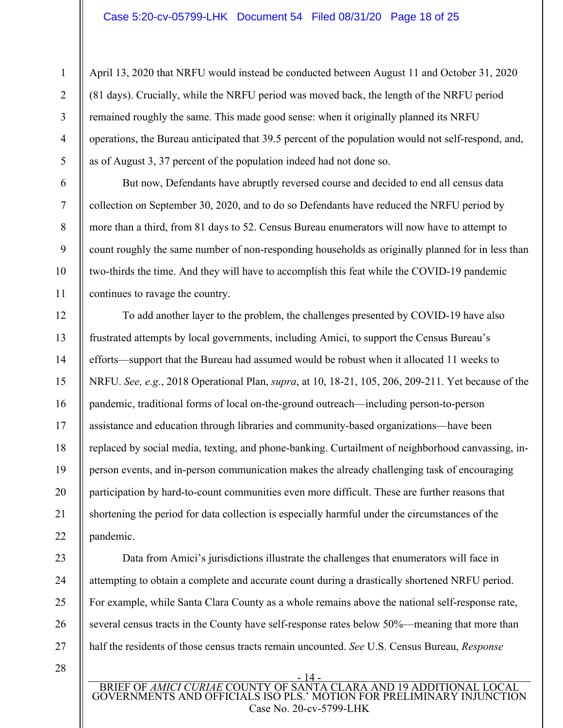April 13, 2020 that NRFU would instead be conducted between August 11 and October 31, 2020 (81 days). Crucially, while the NRFU period was moved back, the length of the NRFU period remained roughly the same. This made good sense: when it originally planned its NRFU operations, the Bureau anticipated that 39.5 percent of the population would not self-respond, and, as of August 3, 37 percent of the population indeed had not done so.

But now, Defendants have abruptly reversed course and decided to end all census data collection on September 30, 2020, and to do so Defendants have reduced the NRFU period by more than a third, from 81 days to 52. Census Bureau enumerators will now have to attempt to count roughly the same number of non-responding households as originally planned for in less than two-thirds the time. And they will have to accomplish this feat while the COVID-19 pandemic continues to ravage the country.

To add another layer to the problem, the challenges presented by COVID-19 have also frustrated attempts by local governments, including Amici, to support the Census Bureau's efforts—support that the Bureau had assumed would be robust when it allocated 11 weeks to NRFU. *See, e.g.*, 2018 Operational Plan, *supra*, at 10, 18-21, 105, 206, 209-211. Yet because of the pandemic, traditional forms of local on-the-ground outreach—including person-to-person assistance and education through libraries and community-based organizations—have been replaced by social media, texting, and phone-banking. Curtailment of neighborhood canvassing, inperson events, and in-person communication makes the already challenging task of encouraging participation by hard-to-count communities even more difficult. These are further reasons that shortening the period for data collection is especially harmful under the circumstances of the pandemic.

Data from Amici's jurisdictions illustrate the challenges that enumerators will face in attempting to obtain a complete and accurate count during a drastically shortened NRFU period. For example, while Santa Clara County as a whole remains above the national self-response rate, several census tracts in the County have self-response rates below 50%—meaning that more than half the residents of those census tracts remain uncounted. *See* U.S. Census Bureau, *Response* 

28

1

2

3

4

5

6

7

8

9

10

11

12

13

14

15

16

17

18

19

20

21

22

23

24

25

26

27

- 14 - BRIEF OF *AMICI CURIAE* COUNTY OF SANTA CLARA AND 19 ADDITIONAL LOCAL GOVERNMENTS AND OFFICIALS ISO PLS.' MOTION FOR PRELIMINARY INJUNCTION Case No. 20-cv-5799-LHK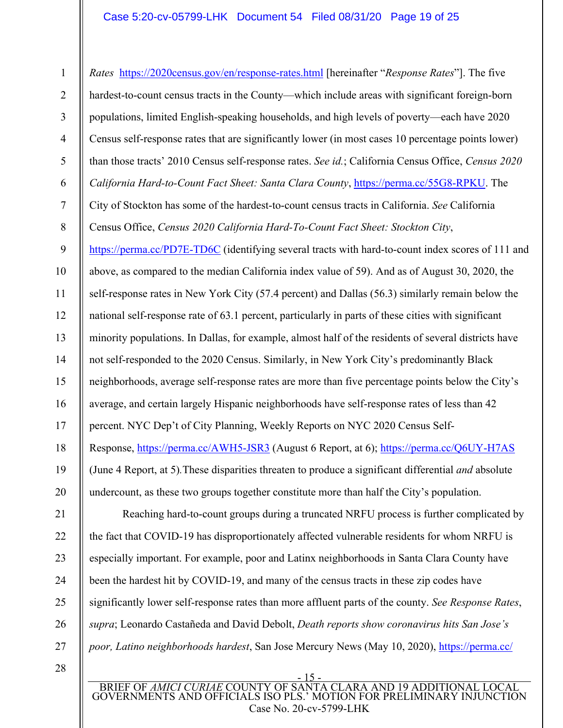# Case 5:20-cv-05799-LHK Document 54 Filed 08/31/20 Page 19 of 25

1 2 3 4 5 6 7 8 9 10 11 12 13 14 15 16 17 18 19 20 21 22 23 24 25 26 27 28 *Rates* https://2020census.gov/en/response-rates.html [hereinafter "*Response Rates*"]. The five hardest-to-count census tracts in the County—which include areas with significant foreign-born populations, limited English-speaking households, and high levels of poverty—each have 2020 Census self-response rates that are significantly lower (in most cases 10 percentage points lower) than those tracts' 2010 Census self-response rates. *See id.*; California Census Office, *Census 2020 California Hard-to-Count Fact Sheet: Santa Clara County*, https://perma.cc/55G8-RPKU. The City of Stockton has some of the hardest-to-count census tracts in California. *See* California Census Office, *Census 2020 California Hard-To-Count Fact Sheet: Stockton City*, https://perma.cc/PD7E-TD6C (identifying several tracts with hard-to-count index scores of 111 and above, as compared to the median California index value of 59). And as of August 30, 2020, the self-response rates in New York City (57.4 percent) and Dallas (56.3) similarly remain below the national self-response rate of 63.1 percent, particularly in parts of these cities with significant minority populations. In Dallas, for example, almost half of the residents of several districts have not self-responded to the 2020 Census. Similarly, in New York City's predominantly Black neighborhoods, average self-response rates are more than five percentage points below the City's average, and certain largely Hispanic neighborhoods have self-response rates of less than 42 percent. NYC Dep't of City Planning, Weekly Reports on NYC 2020 Census Self-Response, https://perma.cc/AWH5-JSR3 (August 6 Report, at 6); https://perma.cc/Q6UY-H7AS (June 4 Report, at 5)*.*These disparities threaten to produce a significant differential *and* absolute undercount, as these two groups together constitute more than half the City's population. Reaching hard-to-count groups during a truncated NRFU process is further complicated by the fact that COVID-19 has disproportionately affected vulnerable residents for whom NRFU is especially important. For example, poor and Latinx neighborhoods in Santa Clara County have been the hardest hit by COVID-19, and many of the census tracts in these zip codes have significantly lower self-response rates than more affluent parts of the county. *See Response Rates*, *supra*; Leonardo Castañeda and David Debolt, *Death reports show coronavirus hits San Jose's poor, Latino neighborhoods hardest*, San Jose Mercury News (May 10, 2020), https://perma.cc/

- 15 - BRIEF OF *AMICI CURIAE* COUNTY OF SANTA CLARA AND 19 ADDITIONAL LOCAL GOVERNMENTS AND OFFICIALS ISO PLS.' MOTION FOR PRELIMINARY INJUNCTION Case No. 20-cv-5799-LHK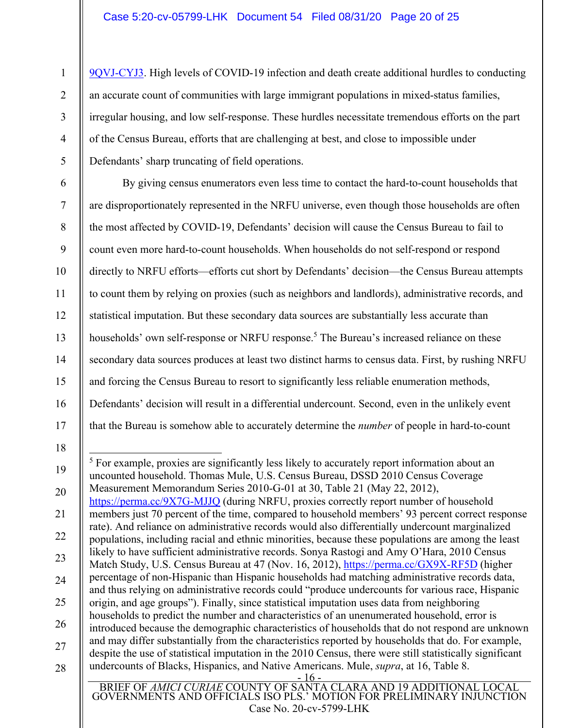9QVJ-CYJ3. High levels of COVID-19 infection and death create additional hurdles to conducting an accurate count of communities with large immigrant populations in mixed-status families, irregular housing, and low self-response. These hurdles necessitate tremendous efforts on the part of the Census Bureau, efforts that are challenging at best, and close to impossible under Defendants' sharp truncating of field operations.

By giving census enumerators even less time to contact the hard-to-count households that are disproportionately represented in the NRFU universe, even though those households are often the most affected by COVID-19, Defendants' decision will cause the Census Bureau to fail to count even more hard-to-count households. When households do not self-respond or respond directly to NRFU efforts—efforts cut short by Defendants' decision—the Census Bureau attempts to count them by relying on proxies (such as neighbors and landlords), administrative records, and statistical imputation. But these secondary data sources are substantially less accurate than households' own self-response or NRFU response.<sup>5</sup> The Bureau's increased reliance on these secondary data sources produces at least two distinct harms to census data. First, by rushing NRFU and forcing the Census Bureau to resort to significantly less reliable enumeration methods, Defendants' decision will result in a differential undercount. Second, even in the unlikely event that the Bureau is somehow able to accurately determine the *number* of people in hard-to-count

<sup>5</sup> For example, proxies are significantly less likely to accurately report information about an uncounted household. Thomas Mule, U.S. Census Bureau, DSSD 2010 Census Coverage

https://perma.cc/9X7G-MJJQ (during NRFU, proxies correctly report number of household

origin, and age groups"). Finally, since statistical imputation uses data from neighboring households to predict the number and characteristics of an unenumerated household, error is

undercounts of Blacks, Hispanics, and Native Americans. Mule, *supra*, at 16, Table 8.

members just 70 percent of the time, compared to household members' 93 percent correct response rate). And reliance on administrative records would also differentially undercount marginalized populations, including racial and ethnic minorities, because these populations are among the least likely to have sufficient administrative records. Sonya Rastogi and Amy O'Hara, 2010 Census Match Study, U.S. Census Bureau at 47 (Nov. 16, 2012), https://perma.cc/GX9X-RF5D (higher percentage of non-Hispanic than Hispanic households had matching administrative records data, and thus relying on administrative records could "produce undercounts for various race, Hispanic

Measurement Memorandum Series 2010-G-01 at 30, Table 21 (May 22, 2012),

18

17

1

2

3

4

5

6

7

8

9

10

11

12

13

14

15

16

- 19
- 20
- 21
- 22
- 23
- 24

25

26

27

- 
- 28

BRIEF OF *AMICI CURIAE* COUNTY OF SANTA CLARA AND 19 ADDITIONAL LOCAL GOVERNMENTS AND OFFICIALS ISO PLS.' MOTION FOR PRELIMINARY INJUNCTION Case No. 20-cv-5799-LHK

 $-16$ 

introduced because the demographic characteristics of households that do not respond are unknown and may differ substantially from the characteristics reported by households that do. For example, despite the use of statistical imputation in the 2010 Census, there were still statistically significant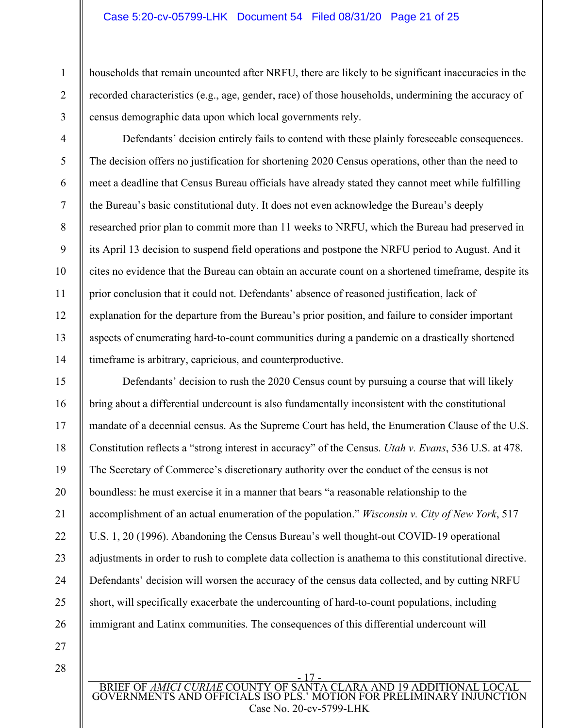#### Case 5:20-cv-05799-LHK Document 54 Filed 08/31/20 Page 21 of 25

households that remain uncounted after NRFU, there are likely to be significant inaccuracies in the recorded characteristics (e.g., age, gender, race) of those households, undermining the accuracy of census demographic data upon which local governments rely.

3 4

5

6

7

8

9

10

11

12

13

14

1

2

Defendants' decision entirely fails to contend with these plainly foreseeable consequences. The decision offers no justification for shortening 2020 Census operations, other than the need to meet a deadline that Census Bureau officials have already stated they cannot meet while fulfilling the Bureau's basic constitutional duty. It does not even acknowledge the Bureau's deeply researched prior plan to commit more than 11 weeks to NRFU, which the Bureau had preserved in its April 13 decision to suspend field operations and postpone the NRFU period to August. And it cites no evidence that the Bureau can obtain an accurate count on a shortened timeframe, despite its prior conclusion that it could not. Defendants' absence of reasoned justification, lack of explanation for the departure from the Bureau's prior position, and failure to consider important aspects of enumerating hard-to-count communities during a pandemic on a drastically shortened timeframe is arbitrary, capricious, and counterproductive.

15 16 17 18 19 20 21 22 23 24 25 26 Defendants' decision to rush the 2020 Census count by pursuing a course that will likely bring about a differential undercount is also fundamentally inconsistent with the constitutional mandate of a decennial census. As the Supreme Court has held, the Enumeration Clause of the U.S. Constitution reflects a "strong interest in accuracy" of the Census. *Utah v. Evans*, 536 U.S. at 478. The Secretary of Commerce's discretionary authority over the conduct of the census is not boundless: he must exercise it in a manner that bears "a reasonable relationship to the accomplishment of an actual enumeration of the population." *Wisconsin v. City of New York*, 517 U.S. 1, 20 (1996). Abandoning the Census Bureau's well thought-out COVID-19 operational adjustments in order to rush to complete data collection is anathema to this constitutional directive. Defendants' decision will worsen the accuracy of the census data collected, and by cutting NRFU short, will specifically exacerbate the undercounting of hard-to-count populations, including immigrant and Latinx communities. The consequences of this differential undercount will

- 27
- 28

- 17 - BRIEF OF *AMICI CURIAE* COUNTY OF SANTA CLARA AND 19 ADDITIONAL LOCAL GOVERNMENTS AND OFFICIALS ISO PLS.' MOTION FOR PRELIMINARY INJUNCTION Case No. 20-cv-5799-LHK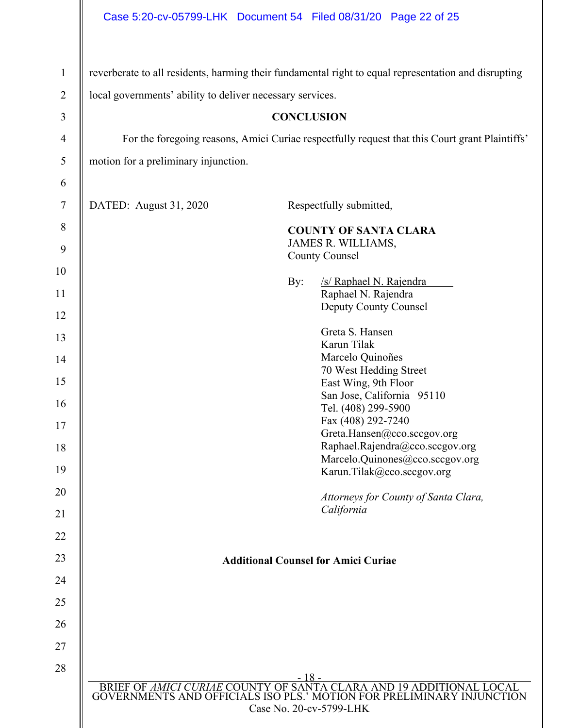|                                |                                                           |                                   | Case 5:20-cv-05799-LHK Document 54 Filed 08/31/20 Page 22 of 25                                                                              |  |
|--------------------------------|-----------------------------------------------------------|-----------------------------------|----------------------------------------------------------------------------------------------------------------------------------------------|--|
| $\mathbf{1}$<br>$\overline{2}$ | local governments' ability to deliver necessary services. |                                   | reverberate to all residents, harming their fundamental right to equal representation and disrupting                                         |  |
| 3                              |                                                           | <b>CONCLUSION</b>                 |                                                                                                                                              |  |
| $\overline{4}$                 |                                                           |                                   |                                                                                                                                              |  |
|                                |                                                           |                                   | For the foregoing reasons, Amici Curiae respectfully request that this Court grant Plaintiffs'                                               |  |
| 5                              | motion for a preliminary injunction.                      |                                   |                                                                                                                                              |  |
| 6<br>$\tau$                    | DATED: August 31, 2020                                    |                                   | Respectfully submitted,                                                                                                                      |  |
| 8                              |                                                           |                                   | <b>COUNTY OF SANTA CLARA</b>                                                                                                                 |  |
| 9                              |                                                           |                                   | JAMES R. WILLIAMS,<br><b>County Counsel</b>                                                                                                  |  |
| 10                             |                                                           |                                   |                                                                                                                                              |  |
| 11                             |                                                           | By:                               | /s/ Raphael N. Rajendra<br>Raphael N. Rajendra                                                                                               |  |
| 12                             |                                                           |                                   | Deputy County Counsel                                                                                                                        |  |
| 13                             |                                                           |                                   | Greta S. Hansen                                                                                                                              |  |
| 14                             |                                                           |                                   | Karun Tilak<br>Marcelo Quinoñes                                                                                                              |  |
| 15                             |                                                           |                                   | 70 West Hedding Street<br>East Wing, 9th Floor                                                                                               |  |
| 16                             |                                                           |                                   | San Jose, California 95110                                                                                                                   |  |
| 17                             |                                                           |                                   | Tel. (408) 299-5900<br>Fax (408) 292-7240                                                                                                    |  |
| 18                             |                                                           |                                   | Greta.Hansen@cco.sccgov.org<br>Raphael.Rajendra@cco.sccgov.org                                                                               |  |
|                                |                                                           |                                   | Marcelo.Quinones@cco.sccgov.org                                                                                                              |  |
| 19                             |                                                           |                                   | Karun.Tilak@cco.sccgov.org                                                                                                                   |  |
| 20<br>21                       |                                                           |                                   | Attorneys for County of Santa Clara,<br>California                                                                                           |  |
| 22                             |                                                           |                                   |                                                                                                                                              |  |
| 23                             | <b>Additional Counsel for Amici Curiae</b>                |                                   |                                                                                                                                              |  |
| 24                             |                                                           |                                   |                                                                                                                                              |  |
| 25                             |                                                           |                                   |                                                                                                                                              |  |
| 26                             |                                                           |                                   |                                                                                                                                              |  |
| 27                             |                                                           |                                   |                                                                                                                                              |  |
| 28                             |                                                           |                                   |                                                                                                                                              |  |
|                                |                                                           | $-18-$<br>Case No. 20-cv-5799-LHK | BRIEF OF AMICI CURIAE COUNTY OF SANTA CLARA AND 19 ADDITIONAL LOCAL<br>GOVERNMENTS AND OFFICIALS ISO PLS.' MOTION FOR PRELIMINARY INJUNCTION |  |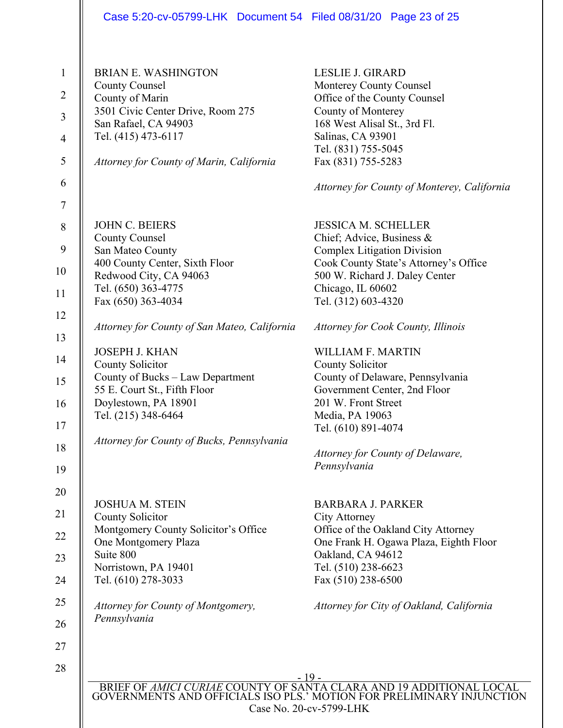| <b>County Counsel</b><br>Monterey County Counsel<br>County of Marin<br>Office of the County Counsel<br>3501 Civic Center Drive, Room 275<br>County of Monterey<br>168 West Alisal St., 3rd Fl.<br>San Rafael, CA 94903<br>Salinas, CA 93901<br>Tel. (415) 473-6117<br>Tel. (831) 755-5045<br>Fax (831) 755-5283<br>Attorney for County of Marin, California<br><b>JOHN C. BEIERS</b><br><b>JESSICA M. SCHELLER</b><br><b>County Counsel</b><br>Chief; Advice, Business $\&$<br>San Mateo County<br><b>Complex Litigation Division</b><br>400 County Center, Sixth Floor<br>500 W. Richard J. Daley Center<br>Redwood City, CA 94063<br>Tel. (650) 363-4775<br>Chicago, IL 60602<br>Fax (650) 363-4034<br>Tel. (312) 603-4320<br>Attorney for County of San Mateo, California<br>Attorney for Cook County, Illinois<br><b>JOSEPH J. KHAN</b><br>WILLIAM F. MARTIN<br>County Solicitor<br>County Solicitor<br>County of Bucks - Law Department<br>County of Delaware, Pennsylvania<br>55 E. Court St., Fifth Floor<br>Government Center, 2nd Floor<br>Doylestown, PA 18901<br>201 W. Front Street<br>Tel. (215) 348-6464<br>Media, PA 19063<br>Tel. (610) 891-4074<br>Attorney for County of Bucks, Pennsylvania<br>Attorney for County of Delaware,<br>Pennsylvania<br><b>JOSHUA M. STEIN</b><br><b>BARBARA J. PARKER</b><br><b>County Solicitor</b><br><b>City Attorney</b><br>Montgomery County Solicitor's Office<br>Office of the Oakland City Attorney<br>One Montgomery Plaza<br>Suite 800<br>Oakland, CA 94612<br>Tel. (510) 238-6623<br>Norristown, PA 19401<br>Tel. (610) 278-3033<br>Fax (510) 238-6500<br>Attorney for County of Montgomery,<br>Pennsylvania | <b>BRIAN E. WASHINGTON</b> | <b>LESLIE J. GIRARD</b>                     |
|------------------------------------------------------------------------------------------------------------------------------------------------------------------------------------------------------------------------------------------------------------------------------------------------------------------------------------------------------------------------------------------------------------------------------------------------------------------------------------------------------------------------------------------------------------------------------------------------------------------------------------------------------------------------------------------------------------------------------------------------------------------------------------------------------------------------------------------------------------------------------------------------------------------------------------------------------------------------------------------------------------------------------------------------------------------------------------------------------------------------------------------------------------------------------------------------------------------------------------------------------------------------------------------------------------------------------------------------------------------------------------------------------------------------------------------------------------------------------------------------------------------------------------------------------------------------------------------------------------------------------------------------------------------------|----------------------------|---------------------------------------------|
|                                                                                                                                                                                                                                                                                                                                                                                                                                                                                                                                                                                                                                                                                                                                                                                                                                                                                                                                                                                                                                                                                                                                                                                                                                                                                                                                                                                                                                                                                                                                                                                                                                                                        |                            |                                             |
|                                                                                                                                                                                                                                                                                                                                                                                                                                                                                                                                                                                                                                                                                                                                                                                                                                                                                                                                                                                                                                                                                                                                                                                                                                                                                                                                                                                                                                                                                                                                                                                                                                                                        |                            |                                             |
|                                                                                                                                                                                                                                                                                                                                                                                                                                                                                                                                                                                                                                                                                                                                                                                                                                                                                                                                                                                                                                                                                                                                                                                                                                                                                                                                                                                                                                                                                                                                                                                                                                                                        |                            |                                             |
|                                                                                                                                                                                                                                                                                                                                                                                                                                                                                                                                                                                                                                                                                                                                                                                                                                                                                                                                                                                                                                                                                                                                                                                                                                                                                                                                                                                                                                                                                                                                                                                                                                                                        |                            |                                             |
|                                                                                                                                                                                                                                                                                                                                                                                                                                                                                                                                                                                                                                                                                                                                                                                                                                                                                                                                                                                                                                                                                                                                                                                                                                                                                                                                                                                                                                                                                                                                                                                                                                                                        |                            |                                             |
|                                                                                                                                                                                                                                                                                                                                                                                                                                                                                                                                                                                                                                                                                                                                                                                                                                                                                                                                                                                                                                                                                                                                                                                                                                                                                                                                                                                                                                                                                                                                                                                                                                                                        |                            |                                             |
|                                                                                                                                                                                                                                                                                                                                                                                                                                                                                                                                                                                                                                                                                                                                                                                                                                                                                                                                                                                                                                                                                                                                                                                                                                                                                                                                                                                                                                                                                                                                                                                                                                                                        |                            | Attorney for County of Monterey, California |
|                                                                                                                                                                                                                                                                                                                                                                                                                                                                                                                                                                                                                                                                                                                                                                                                                                                                                                                                                                                                                                                                                                                                                                                                                                                                                                                                                                                                                                                                                                                                                                                                                                                                        |                            |                                             |
|                                                                                                                                                                                                                                                                                                                                                                                                                                                                                                                                                                                                                                                                                                                                                                                                                                                                                                                                                                                                                                                                                                                                                                                                                                                                                                                                                                                                                                                                                                                                                                                                                                                                        |                            |                                             |
|                                                                                                                                                                                                                                                                                                                                                                                                                                                                                                                                                                                                                                                                                                                                                                                                                                                                                                                                                                                                                                                                                                                                                                                                                                                                                                                                                                                                                                                                                                                                                                                                                                                                        |                            |                                             |
|                                                                                                                                                                                                                                                                                                                                                                                                                                                                                                                                                                                                                                                                                                                                                                                                                                                                                                                                                                                                                                                                                                                                                                                                                                                                                                                                                                                                                                                                                                                                                                                                                                                                        |                            | Cook County State's Attorney's Office       |
|                                                                                                                                                                                                                                                                                                                                                                                                                                                                                                                                                                                                                                                                                                                                                                                                                                                                                                                                                                                                                                                                                                                                                                                                                                                                                                                                                                                                                                                                                                                                                                                                                                                                        |                            |                                             |
|                                                                                                                                                                                                                                                                                                                                                                                                                                                                                                                                                                                                                                                                                                                                                                                                                                                                                                                                                                                                                                                                                                                                                                                                                                                                                                                                                                                                                                                                                                                                                                                                                                                                        |                            |                                             |
|                                                                                                                                                                                                                                                                                                                                                                                                                                                                                                                                                                                                                                                                                                                                                                                                                                                                                                                                                                                                                                                                                                                                                                                                                                                                                                                                                                                                                                                                                                                                                                                                                                                                        |                            |                                             |
|                                                                                                                                                                                                                                                                                                                                                                                                                                                                                                                                                                                                                                                                                                                                                                                                                                                                                                                                                                                                                                                                                                                                                                                                                                                                                                                                                                                                                                                                                                                                                                                                                                                                        |                            |                                             |
|                                                                                                                                                                                                                                                                                                                                                                                                                                                                                                                                                                                                                                                                                                                                                                                                                                                                                                                                                                                                                                                                                                                                                                                                                                                                                                                                                                                                                                                                                                                                                                                                                                                                        |                            |                                             |
|                                                                                                                                                                                                                                                                                                                                                                                                                                                                                                                                                                                                                                                                                                                                                                                                                                                                                                                                                                                                                                                                                                                                                                                                                                                                                                                                                                                                                                                                                                                                                                                                                                                                        |                            |                                             |
|                                                                                                                                                                                                                                                                                                                                                                                                                                                                                                                                                                                                                                                                                                                                                                                                                                                                                                                                                                                                                                                                                                                                                                                                                                                                                                                                                                                                                                                                                                                                                                                                                                                                        |                            |                                             |
|                                                                                                                                                                                                                                                                                                                                                                                                                                                                                                                                                                                                                                                                                                                                                                                                                                                                                                                                                                                                                                                                                                                                                                                                                                                                                                                                                                                                                                                                                                                                                                                                                                                                        |                            |                                             |
|                                                                                                                                                                                                                                                                                                                                                                                                                                                                                                                                                                                                                                                                                                                                                                                                                                                                                                                                                                                                                                                                                                                                                                                                                                                                                                                                                                                                                                                                                                                                                                                                                                                                        |                            |                                             |
|                                                                                                                                                                                                                                                                                                                                                                                                                                                                                                                                                                                                                                                                                                                                                                                                                                                                                                                                                                                                                                                                                                                                                                                                                                                                                                                                                                                                                                                                                                                                                                                                                                                                        |                            |                                             |
|                                                                                                                                                                                                                                                                                                                                                                                                                                                                                                                                                                                                                                                                                                                                                                                                                                                                                                                                                                                                                                                                                                                                                                                                                                                                                                                                                                                                                                                                                                                                                                                                                                                                        |                            |                                             |
|                                                                                                                                                                                                                                                                                                                                                                                                                                                                                                                                                                                                                                                                                                                                                                                                                                                                                                                                                                                                                                                                                                                                                                                                                                                                                                                                                                                                                                                                                                                                                                                                                                                                        |                            |                                             |
|                                                                                                                                                                                                                                                                                                                                                                                                                                                                                                                                                                                                                                                                                                                                                                                                                                                                                                                                                                                                                                                                                                                                                                                                                                                                                                                                                                                                                                                                                                                                                                                                                                                                        |                            |                                             |
|                                                                                                                                                                                                                                                                                                                                                                                                                                                                                                                                                                                                                                                                                                                                                                                                                                                                                                                                                                                                                                                                                                                                                                                                                                                                                                                                                                                                                                                                                                                                                                                                                                                                        |                            |                                             |
|                                                                                                                                                                                                                                                                                                                                                                                                                                                                                                                                                                                                                                                                                                                                                                                                                                                                                                                                                                                                                                                                                                                                                                                                                                                                                                                                                                                                                                                                                                                                                                                                                                                                        |                            |                                             |
|                                                                                                                                                                                                                                                                                                                                                                                                                                                                                                                                                                                                                                                                                                                                                                                                                                                                                                                                                                                                                                                                                                                                                                                                                                                                                                                                                                                                                                                                                                                                                                                                                                                                        |                            |                                             |
|                                                                                                                                                                                                                                                                                                                                                                                                                                                                                                                                                                                                                                                                                                                                                                                                                                                                                                                                                                                                                                                                                                                                                                                                                                                                                                                                                                                                                                                                                                                                                                                                                                                                        |                            | One Frank H. Ogawa Plaza, Eighth Floor      |
|                                                                                                                                                                                                                                                                                                                                                                                                                                                                                                                                                                                                                                                                                                                                                                                                                                                                                                                                                                                                                                                                                                                                                                                                                                                                                                                                                                                                                                                                                                                                                                                                                                                                        |                            |                                             |
|                                                                                                                                                                                                                                                                                                                                                                                                                                                                                                                                                                                                                                                                                                                                                                                                                                                                                                                                                                                                                                                                                                                                                                                                                                                                                                                                                                                                                                                                                                                                                                                                                                                                        |                            |                                             |
|                                                                                                                                                                                                                                                                                                                                                                                                                                                                                                                                                                                                                                                                                                                                                                                                                                                                                                                                                                                                                                                                                                                                                                                                                                                                                                                                                                                                                                                                                                                                                                                                                                                                        |                            |                                             |
|                                                                                                                                                                                                                                                                                                                                                                                                                                                                                                                                                                                                                                                                                                                                                                                                                                                                                                                                                                                                                                                                                                                                                                                                                                                                                                                                                                                                                                                                                                                                                                                                                                                                        |                            | Attorney for City of Oakland, California    |
|                                                                                                                                                                                                                                                                                                                                                                                                                                                                                                                                                                                                                                                                                                                                                                                                                                                                                                                                                                                                                                                                                                                                                                                                                                                                                                                                                                                                                                                                                                                                                                                                                                                                        |                            |                                             |
|                                                                                                                                                                                                                                                                                                                                                                                                                                                                                                                                                                                                                                                                                                                                                                                                                                                                                                                                                                                                                                                                                                                                                                                                                                                                                                                                                                                                                                                                                                                                                                                                                                                                        |                            |                                             |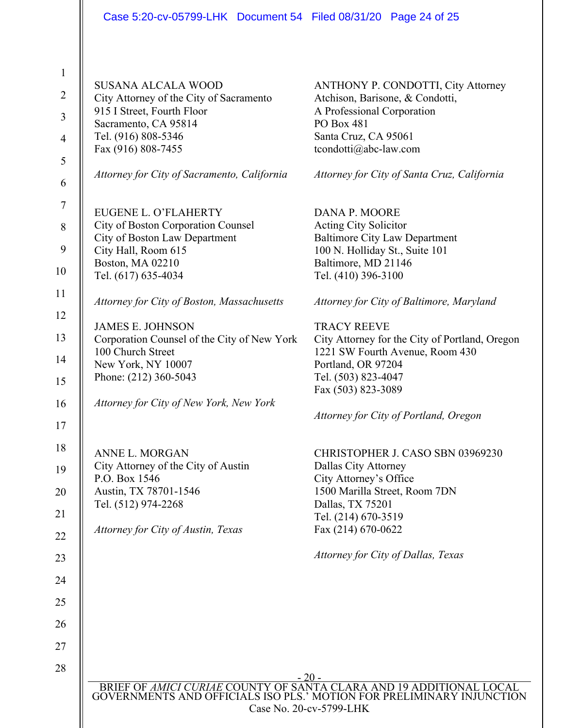|                  | Case 5:20-cv-05799-LHK Document 54 Filed 08/31/20 Page 24 of 25   |                                                                                                                                           |
|------------------|-------------------------------------------------------------------|-------------------------------------------------------------------------------------------------------------------------------------------|
|                  |                                                                   |                                                                                                                                           |
| $\mathbf{1}$     | <b>SUSANA ALCALA WOOD</b>                                         |                                                                                                                                           |
| $\overline{2}$   | City Attorney of the City of Sacramento                           | ANTHONY P. CONDOTTI, City Attorney<br>Atchison, Barisone, & Condotti,                                                                     |
| $\mathfrak{Z}$   | 915 I Street, Fourth Floor                                        | A Professional Corporation<br><b>PO Box 481</b>                                                                                           |
| $\overline{4}$   | Sacramento, CA 95814<br>Tel. (916) 808-5346                       | Santa Cruz, CA 95061                                                                                                                      |
|                  | Fax (916) 808-7455                                                | tcondotti@abc-law.com                                                                                                                     |
| 5<br>6           | Attorney for City of Sacramento, California                       | Attorney for City of Santa Cruz, California                                                                                               |
| $\boldsymbol{7}$ |                                                                   |                                                                                                                                           |
| 8                | <b>EUGENE L. O'FLAHERTY</b><br>City of Boston Corporation Counsel | <b>DANA P. MOORE</b><br><b>Acting City Solicitor</b>                                                                                      |
|                  | City of Boston Law Department                                     | <b>Baltimore City Law Department</b>                                                                                                      |
| 9                | City Hall, Room 615                                               | 100 N. Holliday St., Suite 101                                                                                                            |
| 10               | <b>Boston, MA 02210</b><br>Tel. (617) 635-4034                    | Baltimore, MD 21146<br>Tel. (410) 396-3100                                                                                                |
| 11               | Attorney for City of Boston, Massachusetts                        | Attorney for City of Baltimore, Maryland                                                                                                  |
| 12               | <b>JAMES E. JOHNSON</b>                                           | <b>TRACY REEVE</b>                                                                                                                        |
| 13               | Corporation Counsel of the City of New York                       | City Attorney for the City of Portland, Oregon                                                                                            |
| 14               | 100 Church Street                                                 | 1221 SW Fourth Avenue, Room 430                                                                                                           |
| 15               | New York, NY 10007<br>Phone: (212) 360-5043                       | Portland, OR 97204<br>Tel. (503) 823-4047                                                                                                 |
|                  |                                                                   | Fax (503) 823-3089                                                                                                                        |
| 16               | Attorney for City of New York, New York                           | Attorney for City of Portland, Oregon                                                                                                     |
| 17               |                                                                   |                                                                                                                                           |
| 18               | <b>ANNE L. MORGAN</b>                                             | CHRISTOPHER J. CASO SBN 03969230                                                                                                          |
| 19               | City Attorney of the City of Austin                               | Dallas City Attorney                                                                                                                      |
| 20               | P.O. Box 1546<br>Austin, TX 78701-1546                            | City Attorney's Office<br>1500 Marilla Street, Room 7DN                                                                                   |
|                  | Tel. (512) 974-2268                                               | Dallas, TX 75201                                                                                                                          |
| 21               |                                                                   | Tel. (214) 670-3519                                                                                                                       |
| 22               | Attorney for City of Austin, Texas                                | Fax (214) 670-0622                                                                                                                        |
| 23               |                                                                   | Attorney for City of Dallas, Texas                                                                                                        |
| 24               |                                                                   |                                                                                                                                           |
| 25               |                                                                   |                                                                                                                                           |
| 26               |                                                                   |                                                                                                                                           |
| 27               |                                                                   |                                                                                                                                           |
| 28               |                                                                   | - 20 -                                                                                                                                    |
|                  |                                                                   | BRIEF OF AMICI CURIAE COUNTY OF SANTA CLARA AND 19 ADDITIONAL LOCAL GOVERNMENTS AND OFFICIALS ISO PLS.' MOTION FOR PRELIMINARY INJUNCTION |
|                  |                                                                   | Case No. 20-cv-5799-LHK                                                                                                                   |